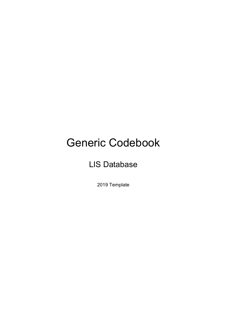# Generic Codebook

# LIS Database

2019 Template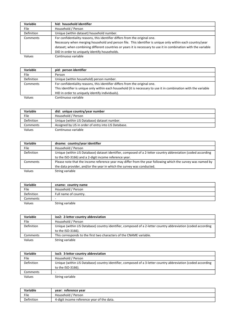| Variable    | hid: household identifier                                                                                       |
|-------------|-----------------------------------------------------------------------------------------------------------------|
| <b>File</b> | Household / Person                                                                                              |
| Definition  | Unique (within dataset) household number.                                                                       |
| Comments    | For confidentiality reasons, this identifier differs from the original one.                                     |
|             | Necessary when merging household and person file. This identifier is unique only within each country/year       |
|             | dataset; when combining different countries or years it is necessary to use it in combination with the variable |
|             | DID in order to uniquely identify households.                                                                   |
| Values      | Continuous variable                                                                                             |

| pid: person identifier                                                                                           |
|------------------------------------------------------------------------------------------------------------------|
| Person                                                                                                           |
| Unique (within household) person number.                                                                         |
| For confidentiality reasons, this identifier differs from the original one.                                      |
| This identifier is unique only within each household (it is necessary to use it in combination with the variable |
| HID in order to uniquely identify individuals).                                                                  |
| Continuous variable                                                                                              |
|                                                                                                                  |

| Variable   | did: unique country/year number                      |
|------------|------------------------------------------------------|
| File       | Household / Person                                   |
| Definition | Unique (within LIS Database) dataset number.         |
| Comments   | Assigned by LIS in order of entry into LIS Database. |
| Values     | Continuous variable                                  |

| Variable   | dname: country/year identifier                                                                                |
|------------|---------------------------------------------------------------------------------------------------------------|
| File       | Household / Person                                                                                            |
| Definition | Unique (within LIS Database) dataset identifier, composed of a 2-letter country abbreviation (coded according |
|            | to the ISO-3166) and a 2-digit income reference year.                                                         |
| Comments   | Please note that the income reference year may differ from the year following which the survey was named by   |
|            | the data provider, and/or the year in which the survey was conducted.                                         |
| Values     | String variable                                                                                               |

| Variable          | cname: country name   |
|-------------------|-----------------------|
| File              | Household / Person    |
| <b>Definition</b> | Full name of country. |
| Comments          | ۰                     |
| Values            | String variable       |

| Variable          | iso2: 2-letter country abbreviation                                                                                                |
|-------------------|------------------------------------------------------------------------------------------------------------------------------------|
| File              | Household / Person                                                                                                                 |
| <b>Definition</b> | Unique (within LIS Database) country identifier, composed of a 2-letter country abbreviation (coded according<br>to the ISO-3166). |
| Comments          | This corresponds to the first two characters of the CNAME variable.                                                                |
| Values            | String variable                                                                                                                    |

| Variable          | iso3: 3-letter country abbreviation                                                                           |
|-------------------|---------------------------------------------------------------------------------------------------------------|
| File              | Household / Person                                                                                            |
| <b>Definition</b> | Unique (within LIS Database) country identifier, composed of a 3-letter country abbreviation (coded according |
|                   | to the ISO-3166).                                                                                             |
| Comments          | ۰                                                                                                             |
| Values            | String variable                                                                                               |

| Variable   | year: reference year                       |
|------------|--------------------------------------------|
| File       | Household / Person                         |
| Definition | 4-digit income reference year of the data. |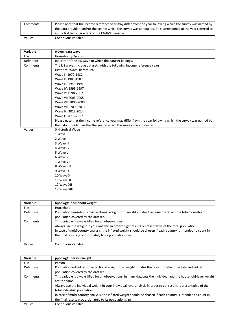| Comments | Please note that the income reference year may differ from the year following which the survey was named by    |
|----------|----------------------------------------------------------------------------------------------------------------|
|          | the data provider, and/or the year in which the survey was conducted. This corresponds to the year referred to |
|          | in the last two characters of the CNAME variable.                                                              |
| Values   | Continuous variable                                                                                            |

| Variable   | wave: data wave                                                                                             |
|------------|-------------------------------------------------------------------------------------------------------------|
| File       | Household / Person                                                                                          |
| Definition | Indicator of the LIS wave to which the dataset belongs.                                                     |
| Comments   | The LIS waves include datasets with the following income reference years:                                   |
|            | Historical Wave: before 1979                                                                                |
|            | Wave I: 1979-1982                                                                                           |
|            | Wave II: 1983-1987                                                                                          |
|            | Wave III: 1988-1992                                                                                         |
|            | Wave IV: 1993-1997                                                                                          |
|            | Wave V: 1998-2002                                                                                           |
|            | Wave VI: 2003-2005                                                                                          |
|            | Wave VII: 2006-2008                                                                                         |
|            | Wave VIII: 2009-2011                                                                                        |
|            | Wave IX: 2012-2014                                                                                          |
|            | Wave X: 2015-2017                                                                                           |
|            | Please note that the income reference year may differ from the year following which the survey was named by |
|            | the data provider, and/or the year in which the survey was conducted.                                       |
| Values     | 0 Historical Wave                                                                                           |
|            | 1 Wave I                                                                                                    |
|            | 2 Wave II                                                                                                   |
|            | 3 Wave III                                                                                                  |
|            | 4 Wave IV                                                                                                   |
|            | 5 Wave V                                                                                                    |
|            | 6 Wave VI                                                                                                   |
|            | 7 Wave VII                                                                                                  |
|            | 8 Wave VIII                                                                                                 |
|            | 9 Wave IX                                                                                                   |
|            | 10 Wave X                                                                                                   |
|            | 11 Wave XI                                                                                                  |
|            | 12 Wave XII                                                                                                 |
|            | 13 Wave XIII                                                                                                |

| Variable          | hpopwgt: household weight                                                                                       |
|-------------------|-----------------------------------------------------------------------------------------------------------------|
| File              | Household                                                                                                       |
| <b>Definition</b> | Population household cross-sectional weight: this weight inflates the result to reflect the total household     |
|                   | population covered by the dataset.                                                                              |
| Comments          | This variable is always filled for all observations.                                                            |
|                   | Always use the weight in your analysis in order to get results representative of the total population.          |
|                   | In case of multi-country analysis, the inflated weight should be chosen if each country is intended to count in |
|                   | the final results proportionately to its population size.                                                       |
|                   |                                                                                                                 |
| Values            | Continuous variable                                                                                             |

Variable | ppopwgt: person weight File Person Definition Population individual cross-sectional weight: this weight inflates the result to reflect the total individual population covered by the dataset. Comments This variable is always filled for all observations. In many datasets the individual and the household-level weight are the same. Always use the individual weight in your individual level analysis in order to get results representative of the total individual population. In case of multi-country analysis, the inflated weight should be chosen if each country is intended to count in the final results proportionately to its population size. Values Continuous variable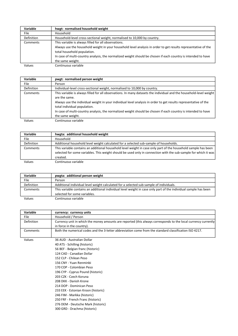| Variable          | hwgt: normalised household weight                                                                              |
|-------------------|----------------------------------------------------------------------------------------------------------------|
| File              | Household                                                                                                      |
| <b>Definition</b> | Household-level cross-sectional weight, normalised to 10,000 by country.                                       |
| Comments          | This variable is always filled for all observations.                                                           |
|                   | Always use the household weight in your household level analysis in order to get results representative of the |
|                   | total household population.                                                                                    |
|                   | In case of multi-country analysis, the normalized weight should be chosen if each country is intended to have  |
|                   | the same weight.                                                                                               |
| Values            | Continuous variable                                                                                            |

| <b>Variable</b> | pwgt: normalised person weight                                                                                                                                                                                                                                                                                                                                                                                                |
|-----------------|-------------------------------------------------------------------------------------------------------------------------------------------------------------------------------------------------------------------------------------------------------------------------------------------------------------------------------------------------------------------------------------------------------------------------------|
| File.           | Person                                                                                                                                                                                                                                                                                                                                                                                                                        |
| Definition      | Individual-level cross-sectional weight, normalised to 10,000 by country.                                                                                                                                                                                                                                                                                                                                                     |
| Comments        | This variable is always filled for all observations. In many datasets the individual and the household-level weight<br>are the same.<br>Always use the individual weight in your individual level analysis in order to get results representative of the<br>total individual population.<br>In case of multi-country analysis, the normalized weight should be chosen if each country is intended to have<br>the same weight. |
| Values          | Continuous variable                                                                                                                                                                                                                                                                                                                                                                                                           |

| Variable          | hwgta: additional household weight                                                                                                                                                                                                            |
|-------------------|-----------------------------------------------------------------------------------------------------------------------------------------------------------------------------------------------------------------------------------------------|
| <b>File</b>       | Household                                                                                                                                                                                                                                     |
| <b>Definition</b> | Additional household level weight calculated for a selected sub-sample of households.                                                                                                                                                         |
| Comments          | This variable contains an additional household level weight in case only part of the household sample has been<br>selected for some variables. This weight should be used only in connection with the sub-sample for which it was<br>created. |
| Values            | Continuous variable                                                                                                                                                                                                                           |

| Variable          | pwgta: additional person weight                                                                                  |
|-------------------|------------------------------------------------------------------------------------------------------------------|
| File              | Person                                                                                                           |
| <b>Definition</b> | Additional individual level weight calculated for a selected sub-sample of individuals.                          |
| Comments          | This variable contains an additional individual level weight in case only part of the individual sample has been |
|                   | selected for some variables.                                                                                     |
| Values            | Continuous variable                                                                                              |

| Variable    | currency: currency units                                                                                       |
|-------------|----------------------------------------------------------------------------------------------------------------|
| <b>File</b> | Household / Person                                                                                             |
| Definition  | Currency unit in which the money amounts are reported (this always corresponds to the local currency currently |
|             | in force in the country).                                                                                      |
| Comments    | Both the numerical codes and the 3-letter abbreviation come from the standard classification ISO 4217.         |
|             |                                                                                                                |
| Values      | 36 AUD - Australian Dollar                                                                                     |
|             | 40 ATS - Schilling (historic)                                                                                  |
|             | 56 BEF - Belgian franc (historic)                                                                              |
|             | 124 CAD - Canadian Dollar                                                                                      |
|             | 152 CLP - Chilean Peso                                                                                         |
|             | 156 CNY - Yuan Renminbi                                                                                        |
|             | 170 COP - Colombian Peso                                                                                       |
|             | 196 CYP - Cyprus Pound (historic)                                                                              |
|             | 203 CZK - Czech Koruna                                                                                         |
|             | 208 DKK - Danish Krone                                                                                         |
|             | 214 DOP - Dominican Peso                                                                                       |
|             | 233 EEK - Estonian Kroon (historic)                                                                            |
|             | 246 FIM - Markka (historic)                                                                                    |
|             | 250 FRF - French Franc (historic)                                                                              |
|             | 276 DEM - Deutsche Mark (historic)                                                                             |
|             | 300 GRD - Drachma (historic)                                                                                   |
|             |                                                                                                                |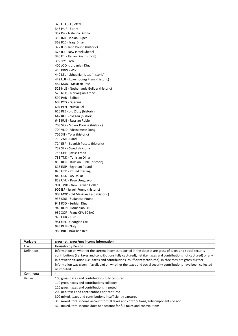320 GTQ - Quetzal 348 HUF - Forint 352 ISK - Icelandic Krona 356 INR - Indian Rupee 368 IQD - Iraqi Dinar 372 IEP - Irish Pound (historic) 376 ILS - New Israeli Sheqel 380 ITL - Italian Lira (historic) 392 JPY - Yen 400 JOD - Jordanian Dinar 410 KRW - Won 440 LTL - Lithuanian Litas (historic) 442 LUF - Luxembourg Franc (historic) 484 MXN - Mexican Peso 528 NLG - Netherlands Guilder (historic) 578 NOK - Norwegian Krone 590 PAB - Balboa 600 PYG - Guarani 604 PEN - Nuevo Sol 616 PLZ - old Zloty (historic) 642 ROL - old Leu (historic) 643 RUB - Russian Ruble 703 SKK - Slovak Koruna (historic) 704 VND - Vietnamese Dong 705 SIT - Tolar (historic) 710 ZAR - Rand 724 ESP - Spanish Peseta (historic) 752 SEK - Swedish Krona 756 CHF - Swiss Franc 788 TND - Tunisian Dinar 810 RUR - Russian Ruble (historic) 818 EGP - Egyptian Pound 826 GBP - Pound Sterling 840 USD - US Dollar 858 UYU - Peso Uruguayo 901 TWD - New Taiwan Dollar 902 ILP - Israeli Pound (historic) 903 MXP - old Mexican Peso (historic) 938 SDG - Sudanese Pound 941 RSD - Serbian Dinar 946 RON - Romanian Leu 952 XOF - Franc CFA BCEAO 978 EUR - Euro 981 GEL - Georgian Lari 985 PLN - Zloty 986 BRL - Brazilian Real

| Variable    | grossnet: gross/net income information                                                                                                                                                                                                                                                                                                                                                                                                                                             |
|-------------|------------------------------------------------------------------------------------------------------------------------------------------------------------------------------------------------------------------------------------------------------------------------------------------------------------------------------------------------------------------------------------------------------------------------------------------------------------------------------------|
| <b>File</b> | Household / Person                                                                                                                                                                                                                                                                                                                                                                                                                                                                 |
| Definition  | Information on whether the current incomes reported in the dataset are gross of taxes and social security<br>contributions (i.e. taxes and contributions fully captured), net (i.e. taxes and contributions not captured) or any<br>in-between situation (i.e. taxes and contributions insufficiently captured); in case they are gross, further<br>information was given (if available) on whether the taxes and social security contributions have been collected<br>or imputed. |
| Comments    |                                                                                                                                                                                                                                                                                                                                                                                                                                                                                    |
| Values      | 100 gross, taxes and contributions fully captured<br>110 gross, taxes and contributions collected<br>120 gross, taxes and contributions imputed<br>200 net, taxes and contributions not captured<br>300 mixed, taxes and contributions insufficiently captured<br>310 mixed, total income account for full taxes and contributions, subcomponents do not<br>320 mixed, total income does not account for full taxes and contributions                                              |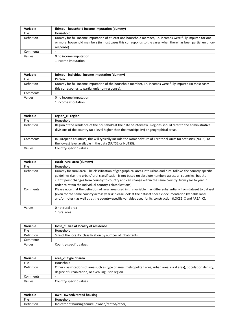| Variable    | fhimpu: household income imputation (dummy)                                                                                                                                                                                              |
|-------------|------------------------------------------------------------------------------------------------------------------------------------------------------------------------------------------------------------------------------------------|
| <b>File</b> | Household                                                                                                                                                                                                                                |
| Definition  | Dummy for full income imputation of at least one household member, i.e. incomes were fully imputed for one<br>or more household members (in most cases this corresponds to the cases when there has been partial unit non-<br>response). |
| Comments    |                                                                                                                                                                                                                                          |
| Values      | 0 no income imputation                                                                                                                                                                                                                   |
|             | 1 income imputation                                                                                                                                                                                                                      |

| Variable   | fpimpu: individual income imputation (dummy)                                                             |
|------------|----------------------------------------------------------------------------------------------------------|
| File       | Person                                                                                                   |
| Definition | Dummy for full income imputation of the household member, i.e. incomes were fully imputed (in most cases |
|            | this corresponds to partial unit non-response).                                                          |
| Comments   |                                                                                                          |
| Values     | 0 no income imputation                                                                                   |
|            | 1 income imputation                                                                                      |

| Variable   | region c: region                                                                                                                                                                                           |
|------------|------------------------------------------------------------------------------------------------------------------------------------------------------------------------------------------------------------|
| File       | Household                                                                                                                                                                                                  |
| Definition | Region of the residence of the household at the date of interview. Regions should refer to the administrative<br>divisions of the country (at a level higher than the municipality) or geographical areas. |
| Comments   | In European countries, this will typically include the Nomenclature of Territorial Units for Statistics (NUTS) at<br>the lowest level available in the data (NUTS2 or NUTS3).                              |
| Values     | Country-specific values                                                                                                                                                                                    |

| Variable          | rural: rural area (dummy)                                                                                                                                                                                                                                                                                                                                                                                    |
|-------------------|--------------------------------------------------------------------------------------------------------------------------------------------------------------------------------------------------------------------------------------------------------------------------------------------------------------------------------------------------------------------------------------------------------------|
| <b>File</b>       | Household                                                                                                                                                                                                                                                                                                                                                                                                    |
| <b>Definition</b> | Dummy for rural area. The classification of geographical areas into urban and rural follows the country-specific<br>guidelines (i.e. the urban/rural classification is not based on absolute numbers across all countries, but the<br>cutoff point changes from country to country and can change within the same country from year to year in<br>order to retain the individual country's classifications). |
| Comments          | Please note that the definition of rural area used in this variable may differ substantially from dataset to dataset  <br>(even for the same country across years); please look at the dataset specific documentation (variable label<br>and/or notes), as well as at the country-specific variables used for its construction (LOCSZ C and AREA C).                                                         |
| Values            | 0 not rural area                                                                                                                                                                                                                                                                                                                                                                                             |

1 rural area

| Variable          | locsz c: size of locality of residence                         |
|-------------------|----------------------------------------------------------------|
| File              | Household                                                      |
| <b>Definition</b> | Size of the locality: classification by number of inhabitants. |
| Comments          | ۰                                                              |
| Values            | Country-specific values                                        |

| Variable          | area c: type of area                                                                                                |
|-------------------|---------------------------------------------------------------------------------------------------------------------|
| File              | Household                                                                                                           |
| <b>Definition</b> | Other classifications of area such as type of area (metropolitan area, urban area, rural area), population density, |
|                   | degree of urbanization, or even linguistic region.                                                                  |
| Comments          |                                                                                                                     |
| Values            | Country-specific values                                                                                             |

| Variable   | own: owned/rented housing                         |
|------------|---------------------------------------------------|
| File       | Household                                         |
| Definition | Indicator of housing tenure (owned/rented/other). |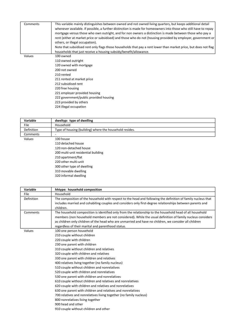| Comments | This variable mainly distinguishes between owned and not owned living quarters, but keeps additional detail      |
|----------|------------------------------------------------------------------------------------------------------------------|
|          | whenever available. If possible, a further distinction is made for homeowners into those who still have to repay |
|          | mortgage versus those who own outright, and for non owners a distinction is made between those who pay a         |
|          | rent (either at market price or subsidised) and those who do not (housing provided by employer, government or    |
|          | others, or illegal occupation).                                                                                  |
|          | Note that subsidised rent only flags those households that pay a rent lower than market price, but does not flag |
|          | households that just receive a housing subsidy/benefit/allowance.                                                |
| Values   | 100 owned                                                                                                        |
|          | 110 owned outright                                                                                               |
|          | 120 owned with mortgage                                                                                          |
|          | 200 not owned                                                                                                    |
|          | 210 rented                                                                                                       |
|          | 211 rented at market price                                                                                       |
|          | 212 subsidised rent                                                                                              |
|          | 220 free housing                                                                                                 |
|          | 221 employer provided housing                                                                                    |
|          | 222 government/public provided housing                                                                           |
|          | 223 provided by others                                                                                           |
|          | 224 illegal occupation                                                                                           |
|          |                                                                                                                  |

| Variable    | dweltyp: type of dwelling                               |
|-------------|---------------------------------------------------------|
| <b>File</b> | Household                                               |
| Definition  | Type of housing (building) where the household resides. |
| Comments    |                                                         |
| Values      | 100 house                                               |
|             | 110 detached house                                      |
|             | 120 non-detached house                                  |
|             | 200 multi-unit residential building                     |
|             |                                                         |

210 apartment/flat 220 other multi-unit 300 other type of dwelling 310 movable dwelling 320 informal dwelling

| Variable    | hhtype: household composition                                                                                 |
|-------------|---------------------------------------------------------------------------------------------------------------|
| <b>File</b> | Household                                                                                                     |
| Definition  | The composition of the household with respect to the head and following the definition of family nucleus that |
|             | includes married and cohabiting couples and considers only first-degree relationships between parents and     |
|             | children.                                                                                                     |
| Comments    | The household composition is identified only from the relationship to the household head of all household     |
|             | members (non household members are not considered). While the usual definition of family nucleus considers    |
|             | as children only children of the head who are unmarried and have no children, we consider all children        |
|             | regardless of their marital and parenthood status.                                                            |
| Values      | 100 one person household                                                                                      |
|             | 210 couple without children                                                                                   |
|             | 220 couple with children                                                                                      |
|             | 230 one parent with children                                                                                  |
|             | 310 couple without children and relatives                                                                     |
|             | 320 couple with children and relatives                                                                        |
|             | 330 one parent with children and relatives                                                                    |
|             | 400 relatives living together (no family nucleus)                                                             |
|             | 510 couple without children and nonrelatives                                                                  |
|             | 520 couple with children and nonrelatives                                                                     |
|             | 530 one parent with children and nonrelatives                                                                 |
|             | 610 couple without children and relatives and nonrelatives                                                    |
|             | 620 couple with children and relatives and nonrelatives                                                       |
|             | 630 one parent with children and relatives and nonrelatives                                                   |
|             | 700 relatives and nonrelatives living together (no family nucleus)                                            |
|             | 800 nonrelatives living together                                                                              |
|             | 900 head and other                                                                                            |
|             | 910 couple without children and other                                                                         |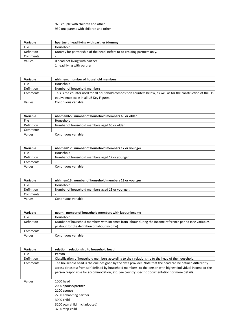### 920 couple with children and other 930 one parent with children and other

| Variable          | hpartner: head living with partner (dummy)                              |
|-------------------|-------------------------------------------------------------------------|
| File              | Household                                                               |
| <b>Definition</b> | Dummy for partnership of the head. Refers to co-residing partners only. |
| Comments          | -                                                                       |
| Values            | 0 head not living with partner                                          |
|                   | 1 head living with partner                                              |

| Variable   | nhhmem: number of household members                                                                               |
|------------|-------------------------------------------------------------------------------------------------------------------|
| File       | Household                                                                                                         |
| Definition | Number of household members.                                                                                      |
| Comments   | This is the counter used for all household composition counters below, as well as for the construction of the LIS |
|            | equivalence scale in all LIS Key Figures.                                                                         |
| Values     | Continuous variable                                                                                               |

| Variable          | nhhmem65: number of household members 65 or older |
|-------------------|---------------------------------------------------|
| File              | Household                                         |
| <b>Definition</b> | Number of household members aged 65 or older.     |
| Comments          | -                                                 |
| Values            | Continuous variable                               |

| Variable   | nhhmem17: number of household members 17 or younger |
|------------|-----------------------------------------------------|
| File       | Household                                           |
| Definition | Number of household members aged 17 or younger.     |
| Comments   |                                                     |
| Values     | Continuous variable                                 |

| <b>Variable</b>   | nhhmem13: number of household members 13 or younger |
|-------------------|-----------------------------------------------------|
| File              | Household                                           |
| <b>Definition</b> | Number of household members aged 13 or younger.     |
| Comments          | -                                                   |
| Values            | Continuous variable                                 |

| Variable          | nearn: number of household members with labour income                                                  |
|-------------------|--------------------------------------------------------------------------------------------------------|
| File              | Household                                                                                              |
| <b>Definition</b> | Number of household members with incomes from labour during the income reference period (see variables |
|                   | pilabour for the definition of labour income).                                                         |
| Comments          |                                                                                                        |
| Values            | Continuous variable                                                                                    |

| Variable    | relation: relationship to household head                                                                    |
|-------------|-------------------------------------------------------------------------------------------------------------|
| <b>File</b> | Person                                                                                                      |
| Definition  | Classification of household members according to their relationship to the head of the household.           |
| Comments    | The household head is the one designed by the data provider. Note that the head can be defined differently  |
|             | across datasets: from self-defined by household members to the person with highest individual income or the |
|             | person responsible for accommodation, etc. See country specific documentation for more details.             |
|             |                                                                                                             |
| Values      | 1000 head                                                                                                   |
|             | 2000 spouse/partner                                                                                         |
|             | 2100 spouse                                                                                                 |
|             | 2200 cohabiting partner                                                                                     |
|             | 3000 child                                                                                                  |
|             | 3100 own child (incl adopted)                                                                               |
|             | 3200 step-child                                                                                             |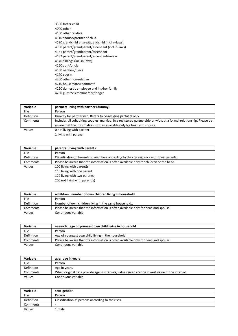3300 foster child 4000 other 4100 other relative 4110 spouse/partner of child 4120 grandchild or greatgrandchild (incl in-laws) 4130 parent/grandparent/ascendant (incl in-laws) 4131 parent/grandparent/ascendant 4132 parent/grandparent/ascendant-in-law 4140 siblings (incl in-laws) 4150 aunt/uncle 4160 nephew/niece 4170 cousin 4200 other non-relative 4210 housemate/roommate 4220 domestic employee and his/her family 4230 guest/visitor/boarder/lodger

| Variable          | partner: living with partner (dummy)                                                                              |
|-------------------|-------------------------------------------------------------------------------------------------------------------|
| File              | Person                                                                                                            |
| <b>Definition</b> | Dummy for partnership. Refers to co-residing partners only.                                                       |
| Comments          | Includes all cohabiting couples: married, in a registered partnership or without a formal relationship. Please be |
|                   | aware that the information is often available only for head and spouse.                                           |
| Values            | 0 not living with partner                                                                                         |
|                   | 1 living with partner                                                                                             |

| Variable    | parents: living with parents                                                           |
|-------------|----------------------------------------------------------------------------------------|
| <b>File</b> | Person                                                                                 |
| Definition  | Classification of household members according to the co-residence with their parents.  |
| Comments    | Please be aware that the information is often available only for children of the head. |
| Values      | 100 living with parent(s)                                                              |
|             | 110 living with one parent                                                             |
|             | 120 living with two parents                                                            |
|             | 200 not living with parent(s)                                                          |

| Variable   | nchildren: number of own children living in household                             |
|------------|-----------------------------------------------------------------------------------|
| File       | Person                                                                            |
| Definition | Number of own children living in the same household                               |
| Comments   | Please be aware that the information is often available only for head and spouse. |
| Values     | Continuous variable                                                               |

| Variable          | ageyoch: age of youngest own child living in household                            |
|-------------------|-----------------------------------------------------------------------------------|
| File              | Person                                                                            |
| <b>Definition</b> | Age of youngest own child living in the household.                                |
| Comments          | Please be aware that the information is often available only for head and spouse. |
| Values            | Continuous variable                                                               |

| Variable   | age: age in years                                                                               |
|------------|-------------------------------------------------------------------------------------------------|
| File       | Person                                                                                          |
| Definition | Age in years.                                                                                   |
| Comments   | When original data provide age in intervals, values given are the lowest value of the interval. |
| Values     | Continuous variable                                                                             |

| <b>Variable</b>   | sex: gender                                       |
|-------------------|---------------------------------------------------|
| File              | Person                                            |
| <b>Definition</b> | Classification of persons according to their sex. |
| Comments          | -                                                 |
| Values            | male                                              |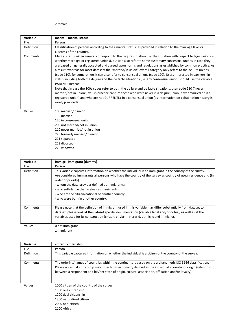#### 2 female

| Variable   | marital: marital status                                                                                                                                                                                                                                                                                                                                                                                                                                                                                                                                                                                                                                                                                                                                                                                                                                                                                                                                                                                                                                                                             |
|------------|-----------------------------------------------------------------------------------------------------------------------------------------------------------------------------------------------------------------------------------------------------------------------------------------------------------------------------------------------------------------------------------------------------------------------------------------------------------------------------------------------------------------------------------------------------------------------------------------------------------------------------------------------------------------------------------------------------------------------------------------------------------------------------------------------------------------------------------------------------------------------------------------------------------------------------------------------------------------------------------------------------------------------------------------------------------------------------------------------------|
| File       | Person                                                                                                                                                                                                                                                                                                                                                                                                                                                                                                                                                                                                                                                                                                                                                                                                                                                                                                                                                                                                                                                                                              |
| Definition | Classification of persons according to their marital status, as provided in relation to the marriage laws or<br>customs of the country.                                                                                                                                                                                                                                                                                                                                                                                                                                                                                                                                                                                                                                                                                                                                                                                                                                                                                                                                                             |
| Comments   | Marital status will in general correspond to the de jure situation (i.e. the situation with respect to legal unions -<br>whether marriage or registered unions), but can also refer to some customary consensual unions in case they<br>are based on generally accepted and agreed upon norms and regulations as established by common practice. As<br>a result, whereas for most datasets the "married/in union" overall category only refers to the de jure unions<br>(code 110), for some others it can also refer to consensual unions (code 120). Users interested in partnership<br>status including both the de jure and the de facto situations (i.e. any consensual union) should use the variable<br>PARTNER instead.<br>Note that in case the 100s codes refer to both the de jure and de facto situations, then code 210 ("never<br>married/not in union") will in practice capture those who were never in a de jure union (never married or in a<br>registered union) and who are not CURRENTLY in a consensual union (as information on cohabitation history is<br>rarely provided). |
| Values     | 100 married/in union<br>110 married<br>120 in consensual union<br>200 not married/not in union<br>210 never married/not in union<br>220 formerly married/in union<br>221 separated<br>222 divorced<br>223 widowed                                                                                                                                                                                                                                                                                                                                                                                                                                                                                                                                                                                                                                                                                                                                                                                                                                                                                   |

| <b>Variable</b> | immigr: immigrant (dummy)                                                                                                                                                                                                                                                                                                                                                                                                                           |
|-----------------|-----------------------------------------------------------------------------------------------------------------------------------------------------------------------------------------------------------------------------------------------------------------------------------------------------------------------------------------------------------------------------------------------------------------------------------------------------|
| File            | Person                                                                                                                                                                                                                                                                                                                                                                                                                                              |
| Definition      | This variable captures information on whether the individual is an immigrant in the country of the survey.<br>Are considered immigrants all persons who have the country of the survey as country of usual residence and (in<br>order of priority):<br>- whom the data provider defined as immigrants;<br>- who self-define them-selves as immigrants;<br>- who are the citizen/national of another country;<br>- who were born in another country. |
| Comments        | Please note that the definition of immigrant used in this variable may differ substantially from dataset to<br>dataset; please look at the dataset specific documentation (variable label and/or notes), as well as at the<br>variables used for its construction (citizen, ctrybrth, yrsresid, ethnic c and immig c).                                                                                                                              |
| Values          | 0 not immigrant<br>1 immigrant                                                                                                                                                                                                                                                                                                                                                                                                                      |

| <b>Variable</b> | citizen: citizenship                                                                                                                                                                                                                                                                                                                         |
|-----------------|----------------------------------------------------------------------------------------------------------------------------------------------------------------------------------------------------------------------------------------------------------------------------------------------------------------------------------------------|
| File            | Person                                                                                                                                                                                                                                                                                                                                       |
| Definition      | This variable captures information on whether the individual is a citizen of the country of the survey.                                                                                                                                                                                                                                      |
| Comments        | The ordering/names of countries within the continents is based on the alphanumeric ISO 3166 classification.<br>Please note that citizenship may differ from nationality defined as the individual's country of origin (relationship)<br>between a respondent and his/her state of origin, culture, association, affiliation and/or loyalty). |
| Values          | 1000 citizen of the country of the survey<br>1100 one citizenship<br>1200 dual citizenship<br>1300 naturalized citizen<br>2000 non-citizen<br>2100 Africa                                                                                                                                                                                    |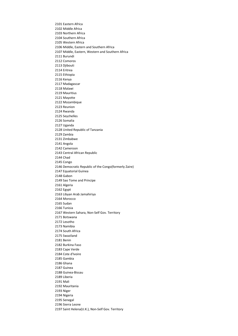2101 Eastern Africa 2102 Middle Africa 2103 Northern Africa 2104 Southern Africa 2105 Western Africa 2106 Middle, Eastern and Southern Africa 2107 Middle, Eastern, Western and Southern Africa 2111 Burundi 2112 Comoros 2113 Djibouti 2114 Eritrea 2115 Ethiopia 2116 Kenya 2117 Madagascar 2118 Malawi 2119 Mauritius 2121 Mayotte 2122 Mozambique 2123 Reunion 2124 Rwanda 2125 Seychelles 2126 Somalia 2127 Uganda 2128 United Republic of Tanzania 2129 Zambia 2131 Zimbabwe 2141 Angola 2142 Cameroon 2143 Central African Republic 2144 Chad 2145 Congo 2146 Democratic Republic of the Congo(formerly Zaire) 2147 Equatorial Guinea 2148 Gabon 2149 Sao Tome and Principe 2161 Algeria 2162 Egypt 2163 Libyan Arab Jamahiriya 2164 Morocco 2165 Sudan 2166 Tunisia 2167 Western Sahara, Non-Self Gov. Territory 2171 Botswana 2172 Lesotho 2173 Namibia 2174 South Africa 2175 Swaziland 2181 Benin 2182 Burkina Faso 2183 Cape Verde 2184 Cote d'Ivoire 2185 Gambia 2186 Ghana 2187 Guinea 2188 Guinea-Bissau 2189 Liberia 2191 Mali 2192 Mauritania 2193 Niger 2194 Nigeria 2195 Senegal 2196 Sierra Leone 2197 Saint Helena(U.K.), Non-Self Gov. Territory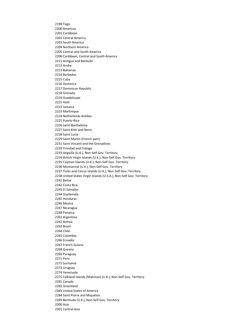2198 Togo 2200 Americas 2201 Caribbean 2202 Central America 2203 South America 2204 Northern America 2205 Central and South America 2206 Caribbean, Central and South America 2211 Antigua and Barbuda 2212 Aruba 2213 Bahamas 2214 Barbados 2215 Cuba 2216 Dominica 2217 Dominican Republic 2218 Grenada 2219 Guadeloupe 2221 Haiti 2222 Jamaica 2223 Martinique 2224 Netherlands Antilles 2225 Puerto Rico 2226 Saint-Barthelemy 2227 Saint Kitts and Nevis 2228 Saint Lucia 2229 Saint Martin (French part) 2231 Saint Vincent and the Grenadines 2232 Trinidad and Tobago 2233 Anguilla (U.K.), Non-Self Gov. Territory 2234 British Virgin Islands (U.K.), Non-Self Gov. Territory 2235 Cayman Islands (U.K.), Non-Self Gov. Territory 2236 Montserrat (U.K.), Non-Self Gov. Territory 2237 Turks and Caicos Islands (U.K.), Non-Self Gov. Territory 2238 United States Virgin Islands (U.S.A.), Non-Self Gov. Territory 2241 Belize 2242 Costa Rica 2243 El Salvador 2244 Guatemala 2245 Honduras 2246 Mexico 2247 Nicaragua 2248 Panama 2261 Argentina 2262 Bolivia 2263 Brazil 2264 Chile 2265 Colombia 2266 Ecuador 2267 French Guiana 2268 Guyana 2269 Paraguay 2271 Peru 2272 Suriname 2273 Uruguay 2274 Venezuela 2275 Falkland Islands (Malvinas) (U.K.), Non-Self Gov. Territory 2281 Canada 2282 Greenland 2283 United States of America 2284 Saint Pierre and Miquelon 2285 Bermuda (U.K.), Non-Self Gov. Territory 2300 Asia 2301 Central Asia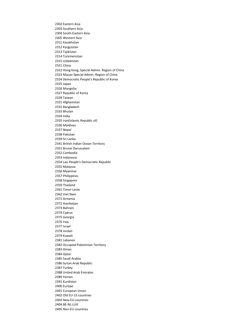2302 Eastern Asia 2303 Southern Asia 2304 South-Eastern Asia 2305 Western Asia 2311 Kazakhstan 2312 Kyrgyzstan 2313 Tajikistan 2314 Turkmenistan 2315 Uzbekistan 2321 China 2322 Hong Kong, Special Admin. Region of China 2323 Macao Special Admin. Region of China 2324 Democratic People's Republic of Korea 2325 Japan 2326 Mongolia 2327 Republic of Korea 2328 Taiwan 2331 Afghanistan 2332 Bangladesh 2333 Bhutan 2334 India 2335 Iran(Islamic Republic of) 2336 Maldives 2337 Nepal 2338 Pakistan 2339 Sri Lanka 2341 British Indian Ocean Territory 2351 Brunei Darussalam 2352 Cambodia 2353 Indonesia 2354 Lao People's Democratic Republic 2355 Malaysia 2356 Myanmar 2357 Philippines 2358 Singapore 2359 Thailand 2361 Timor-Leste 2362 Viet Nam 2371 Armenia 2372 Azerbaijan 2373 Bahrain 2374 Cyprus 2375 Georgia 2376 Iraq 2377 Israel 2378 Jordan 2379 Kuwait 2381 Lebanon 2382 Occupied Palestinian Territory 2383 Oman 2384 Qatar 2385 Saudi Arabia 2386 Syrian Arab Republic 2387 Turkey 2388 United Arab Emirates 2389 Yemen 2391 Kurdistan 2400 Europe 2401 European Union 2402 Old EU-15 countries 2403 New EU countries 2404 BE-NL-LUX 2405 Non-EU countries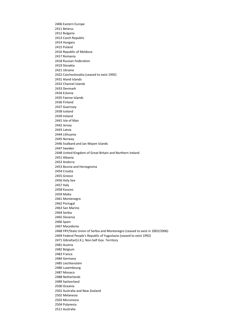2406 Eastern Europe 2411 Belarus 2412 Bulgaria 2413 Czech Republic 2414 Hungary 2415 Poland 2416 Republic of Moldova 2417 Romania 2418 Russian Federation 2419 Slovakia 2421 Ukraine 2422 Czechoslovakia (ceased to exist 1992) 2431 Aland Islands 2432 Channel Islands 2433 Denmark 2434 Estonia 2435 Faeroe Islands 2436 Finland 2437 Guernsey 2438 Iceland 2439 Ireland 2441 Isle of Man 2442 Jersey 2443 Latvia 2444 Lithuania 2445 Norway 2446 Svalbard and Jan Mayen Islands 2447 Sweden 2448 United Kingdom of Great Britain and Northern Ireland 2451 Albania 2452 Andorra 2453 Bosnia and Herzegovina 2454 Croatia 2455 Greece 2456 Holy See 2457 Italy 2458 Kosovo 2459 Malta 2461 Montenegro 2462 Portugal 2463 San Marino 2464 Serbia 2465 Slovenia 2466 Spain 2467 Macedonia 2468 FRY/State Union of Serbia and Montenegro (ceased to exist in 2003/2006) 2469 Federal People's Republic of Yugoslavia (ceased to exist 1992) 2471 Gibraltar(U.K.), Non-Self Gov. Territory 2481 Austria 2482 Belgium 2483 France 2484 Germany 2485 Liechtenstein 2486 Luxembourg 2487 Monaco 2488 Netherlands 2489 Switzerland 2500 Oceania 2501 Australia and New Zealand 2502 Melanesia 2503 Micronesia 2504 Polynesia 2511 Australia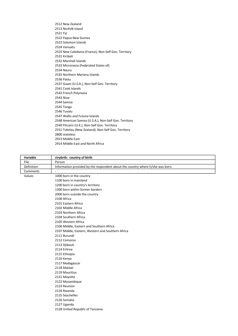2512 New Zealand 2513 Norfolk Island 2521 Fiji 2522 Papua New Guinea 2523 Solomon Islands 2524 Vanuatu 2525 New Caledonia (France), Non-Self Gov. Territory 2531 Kiribati 2532 Marshall Islands 2533 Micronesia (Federated States of) 2534 Nauru 2535 Northern Mariana Islands 2536 Palau 2537 Guam (U.S.A.), Non-Self Gov. Territory 2541 Cook Islands 2542 French Polynesia 2543 Niue 2544 Samoa 2545 Tonga 2546 Tuvalu 2547 Wallis and Futuna Islands 2548 American Samoa (U.S.A.), Non-Self Gov. Territory 2549 Pitcairn (U.K.), Non-Self Gov. Territory 2551 Tokelau (New Zealand), Non-Self Gov. Territory 2800 stateless 2913 Middle East 2914 Middle East and North Africa

| Variable   | ctrybrth: country of birth                                                     |
|------------|--------------------------------------------------------------------------------|
| File       | Person                                                                         |
| Definition | Information provided by the respondent about the country where h/she was born. |
| Comments   |                                                                                |
| Values     | 1000 born in the country                                                       |
|            | 1100 born in mainland                                                          |
|            | 1200 born in country's territory                                               |
|            | 1300 born within former borders                                                |
|            | 2000 born outside the country                                                  |
|            | 2100 Africa                                                                    |
|            | 2101 Eastern Africa                                                            |
|            | 2102 Middle Africa                                                             |
|            | 2103 Northern Africa                                                           |
|            | 2104 Southern Africa                                                           |
|            | 2105 Western Africa                                                            |
|            | 2106 Middle, Eastern and Southern Africa                                       |
|            | 2107 Middle, Eastern, Western and Southern Africa                              |
|            | 2111 Burundi                                                                   |
|            | 2112 Comoros                                                                   |
|            | 2113 Djibouti                                                                  |
|            | 2114 Eritrea                                                                   |
|            | 2115 Ethiopia                                                                  |
|            | 2116 Kenya                                                                     |
|            | 2117 Madagascar                                                                |
|            | 2118 Malawi                                                                    |
|            | 2119 Mauritius                                                                 |
|            | 2121 Mayotte                                                                   |
|            | 2122 Mozambique                                                                |
|            | 2123 Reunion                                                                   |
|            | 2124 Rwanda                                                                    |
|            | 2125 Seychelles                                                                |
|            | 2126 Somalia                                                                   |
|            | 2127 Uganda                                                                    |
|            | 2128 United Republic of Tanzania                                               |
|            |                                                                                |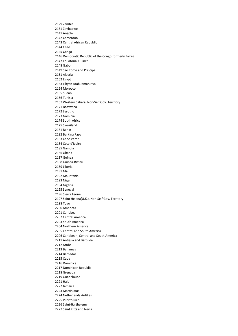2129 Zambia 2131 Zimbabwe 2141 Angola 2142 Cameroon 2143 Central African Republic 2144 Chad 2145 Congo 2146 Democratic Republic of the Congo(formerly Zaire) 2147 Equatorial Guinea 2148 Gabon 2149 Sao Tome and Principe 2161 Algeria 2162 Egypt 2163 Libyan Arab Jamahiriya 2164 Morocco 2165 Sudan 2166 Tunisia 2167 Western Sahara, Non-Self Gov. Territory 2171 Botswana 2172 Lesotho 2173 Namibia 2174 South Africa 2175 Swaziland 2181 Benin 2182 Burkina Faso 2183 Cape Verde 2184 Cote d'Ivoire 2185 Gambia 2186 Ghana 2187 Guinea 2188 Guinea-Bissau 2189 Liberia 2191 Mali 2192 Mauritania 2193 Niger 2194 Nigeria 2195 Senegal 2196 Sierra Leone 2197 Saint Helena(U.K.), Non-Self Gov. Territory 2198 Togo 2200 Americas 2201 Caribbean 2202 Central America 2203 South America 2204 Northern America 2205 Central and South America 2206 Caribbean, Central and South America 2211 Antigua and Barbuda 2212 Aruba 2213 Bahamas 2214 Barbados 2215 Cuba 2216 Dominica 2217 Dominican Republic 2218 Grenada 2219 Guadeloupe 2221 Haiti 2222 Jamaica 2223 Martinique 2224 Netherlands Antilles 2225 Puerto Rico 2226 Saint-Barthelemy 2227 Saint Kitts and Nevis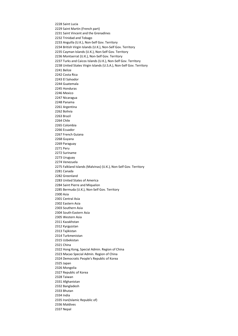2228 Saint Lucia 2229 Saint Martin (French part) 2231 Saint Vincent and the Grenadines 2232 Trinidad and Tobago 2233 Anguilla (U.K.), Non-Self Gov. Territory 2234 British Virgin Islands (U.K.), Non-Self Gov. Territory 2235 Cayman Islands (U.K.), Non-Self Gov. Territory 2236 Montserrat (U.K.), Non-Self Gov. Territory 2237 Turks and Caicos Islands (U.K.), Non-Self Gov. Territory 2238 United States Virgin Islands (U.S.A.), Non-Self Gov. Territory 2241 Belize 2242 Costa Rica 2243 El Salvador 2244 Guatemala 2245 Honduras 2246 Mexico 2247 Nicaragua 2248 Panama 2261 Argentina 2262 Bolivia 2263 Brazil 2264 Chile 2265 Colombia 2266 Ecuador 2267 French Guiana 2268 Guyana 2269 Paraguay 2271 Peru 2272 Suriname 2273 Uruguay 2274 Venezuela 2275 Falkland Islands (Malvinas) (U.K.), Non-Self Gov. Territory 2281 Canada 2282 Greenland 2283 United States of America 2284 Saint Pierre and Miquelon 2285 Bermuda (U.K.), Non-Self Gov. Territory 2300 Asia 2301 Central Asia 2302 Eastern Asia 2303 Southern Asia 2304 South-Eastern Asia 2305 Western Asia 2311 Kazakhstan 2312 Kyrgyzstan 2313 Tajikistan 2314 Turkmenistan 2315 Uzbekistan 2321 China 2322 Hong Kong, Special Admin. Region of China 2323 Macao Special Admin. Region of China 2324 Democratic People's Republic of Korea 2325 Japan 2326 Mongolia 2327 Republic of Korea 2328 Taiwan 2331 Afghanistan 2332 Bangladesh 2333 Bhutan 2334 India 2335 Iran(Islamic Republic of) 2336 Maldives 2337 Nepal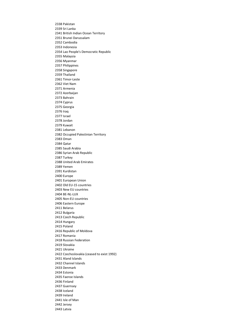2338 Pakistan 2339 Sri Lanka 2341 British Indian Ocean Territory 2351 Brunei Darussalam 2352 Cambodia 2353 Indonesia 2354 Lao People's Democratic Republic 2355 Malaysia 2356 Myanmar 2357 Philippines 2358 Singapore 2359 Thailand 2361 Timor-Leste 2362 Viet Nam 2371 Armenia 2372 Azerbaijan 2373 Bahrain 2374 Cyprus 2375 Georgia 2376 Iraq 2377 Israel 2378 Jordan 2379 Kuwait 2381 Lebanon 2382 Occupied Palestinian Territory 2383 Oman 2384 Qatar 2385 Saudi Arabia 2386 Syrian Arab Republic 2387 Turkey 2388 United Arab Emirates 2389 Yemen 2391 Kurdistan 2400 Europe 2401 European Union 2402 Old EU-15 countries 2403 New EU countries 2404 BE-NL-LUX 2405 Non-EU countries 2406 Eastern Europe 2411 Belarus 2412 Bulgaria 2413 Czech Republic 2414 Hungary 2415 Poland 2416 Republic of Moldova 2417 Romania 2418 Russian Federation 2419 Slovakia 2421 Ukraine 2422 Czechoslovakia (ceased to exist 1992) 2431 Aland Islands 2432 Channel Islands 2433 Denmark 2434 Estonia 2435 Faeroe Islands 2436 Finland 2437 Guernsey 2438 Iceland 2439 Ireland 2441 Isle of Man 2442 Jersey 2443 Latvia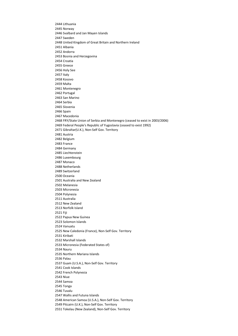2444 Lithuania 2445 Norway 2446 Svalbard and Jan Mayen Islands 2447 Sweden 2448 United Kingdom of Great Britain and Northern Ireland 2451 Albania 2452 Andorra 2453 Bosnia and Herzegovina 2454 Croatia 2455 Greece 2456 Holy See 2457 Italy 2458 Kosovo 2459 Malta 2461 Montenegro 2462 Portugal 2463 San Marino 2464 Serbia 2465 Slovenia 2466 Spain 2467 Macedonia 2468 FRY/State Union of Serbia and Montenegro (ceased to exist in 2003/2006) 2469 Federal People's Republic of Yugoslavia (ceased to exist 1992) 2471 Gibraltar(U.K.), Non-Self Gov. Territory 2481 Austria 2482 Belgium 2483 France 2484 Germany 2485 Liechtenstein 2486 Luxembourg 2487 Monaco 2488 Netherlands 2489 Switzerland 2500 Oceania 2501 Australia and New Zealand 2502 Melanesia 2503 Micronesia 2504 Polynesia 2511 Australia 2512 New Zealand 2513 Norfolk Island 2521 Fiji 2522 Papua New Guinea 2523 Solomon Islands 2524 Vanuatu 2525 New Caledonia (France), Non-Self Gov. Territory 2531 Kiribati 2532 Marshall Islands 2533 Micronesia (Federated States of) 2534 Nauru 2535 Northern Mariana Islands 2536 Palau 2537 Guam (U.S.A.), Non-Self Gov. Territory 2541 Cook Islands 2542 French Polynesia 2543 Niue 2544 Samoa 2545 Tonga 2546 Tuvalu 2547 Wallis and Futuna Islands 2548 American Samoa (U.S.A.), Non-Self Gov. Territory 2549 Pitcairn (U.K.), Non-Self Gov. Territory 2551 Tokelau (New Zealand), Non-Self Gov. Territory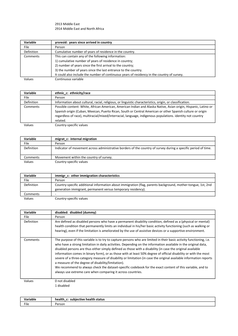2913 Middle East 2914 Middle East and North Africa

| Variable          | yrsresid: years since arrived in country                                                    |
|-------------------|---------------------------------------------------------------------------------------------|
| <b>File</b>       | Person                                                                                      |
| <b>Definition</b> | Cumulative number of years of residence in the country.                                     |
| Comments          | This can contain any of the following information:                                          |
|                   | 1) cumulative number of years of residence in country;                                      |
|                   | 2) number of years since the first arrival to the country;                                  |
|                   | 3) the number of years since the last entrance to the country.                              |
|                   | It could also include the number of continuous years of residency in the country of survey. |
| Values            | Continuous variable                                                                         |

| <b>Variable</b> | ethnic c: ethnicity/race                                                                                        |
|-----------------|-----------------------------------------------------------------------------------------------------------------|
| File            | Person                                                                                                          |
| Definition      | Information about cultural, racial, religious, or linguistic characteristics, origin, or classification.        |
| Comments        | Possible content: White, African American, American Indian and Alaska Native, Asian origin, Hispanic, Latino or |
|                 | Spanish origin (Cuban, Mexican, Puerto Rican, South or Central American or other Spanish culture or origin      |
|                 | regardless of race), multiracial/mixed/interracial, language, indigenous populations, identity not country      |
|                 | related.                                                                                                        |
| Values          | Country-specific values                                                                                         |

| Variable   | migrat c: internal migration                                                                                   |
|------------|----------------------------------------------------------------------------------------------------------------|
| File       | Person                                                                                                         |
| Definition | Indicator of movement across administrative borders of the country of survey during a specific period of time. |
| Comments   | Movement within the country of survey.                                                                         |
| Values     | Country-specific values                                                                                        |

| Variable   | immigr c: other immigration characteristics                                                                                                                                  |
|------------|------------------------------------------------------------------------------------------------------------------------------------------------------------------------------|
| File       | Person                                                                                                                                                                       |
| Definition | Country-specific additional information about immigration (flag, parents background, mother-tongue, 1st, 2nd<br>generation immigrant, permanent versus temporary residency). |
| Comments   |                                                                                                                                                                              |
| Values     | Country-specific values                                                                                                                                                      |

| Variable   | disabled: disabled (dummy)                                                                                                                                                                                                                                                                                                                                                                                                                                                                                                                                                                                                                                                                                                                                                                                                     |
|------------|--------------------------------------------------------------------------------------------------------------------------------------------------------------------------------------------------------------------------------------------------------------------------------------------------------------------------------------------------------------------------------------------------------------------------------------------------------------------------------------------------------------------------------------------------------------------------------------------------------------------------------------------------------------------------------------------------------------------------------------------------------------------------------------------------------------------------------|
| File       | Person                                                                                                                                                                                                                                                                                                                                                                                                                                                                                                                                                                                                                                                                                                                                                                                                                         |
| Definition | Are defined as disabled persons who have a permanent disability condition, defined as a (physical or mental)<br>health condition that permanently limits an individual in his/her basic activity functioning (such as walking or<br>hearing), even if the limitation is ameliorated by the use of assistive devices or a supportive environment.                                                                                                                                                                                                                                                                                                                                                                                                                                                                               |
| Comments   | The purpose of this variable is to try to capture persons who are limited in their basic activity functioning, i.e.<br>who have a strong limitation in daily activities. Depending on the information available in the original data,<br>disabled persons are thus either simply defined as those with a disability (in case the original available<br>information comes in binary form), or as those with at least 50% degree of official disability or with the most<br>severe of a three-category measure of disability or limitation (in case the original available information reports<br>a measure of the degree of disability/limitation).<br>We recommend to always check the dataset-specific codebook for the exact content of this variable, and to<br>always use extreme care when comparing it across countries. |
| Values     | 0 not disabled                                                                                                                                                                                                                                                                                                                                                                                                                                                                                                                                                                                                                                                                                                                                                                                                                 |
|            | 1 disabled                                                                                                                                                                                                                                                                                                                                                                                                                                                                                                                                                                                                                                                                                                                                                                                                                     |

| Variable | status<br>.<br>health:<br>niertive<br>cu b<br>-<br>аіт<br>$\overline{\phantom{0}}$ |
|----------|------------------------------------------------------------------------------------|
| File     | rsor!                                                                              |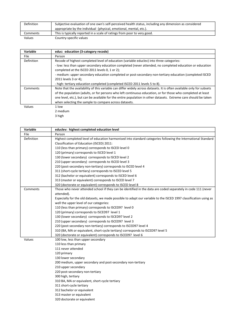| Definition | Subjective evaluation of one own's self-perceived health status, including any dimension as considered |
|------------|--------------------------------------------------------------------------------------------------------|
|            | appropriate by the individual (physical, emotional, mental, etc.).                                     |
| Comments   | This is typically reported in a scale of ratings from poor to very good.                               |
| Values     | Country-specific values                                                                                |

| Variable          | educ: education (3-category recode)                                                                                                                                                                                                                                                                                                                                                                                |
|-------------------|--------------------------------------------------------------------------------------------------------------------------------------------------------------------------------------------------------------------------------------------------------------------------------------------------------------------------------------------------------------------------------------------------------------------|
| File              | Person                                                                                                                                                                                                                                                                                                                                                                                                             |
| <b>Definition</b> | Recode of highest completed level of education (variable educlev) into three categories:<br>- low: less than upper secondary education completed (never attended, no completed education or education<br>completed at the ISCED 2011 levels 0, 1 or 2);<br>- medium: upper secondary education completed or post-secondary non-tertiary education (completed ISCED<br>2011 levels 3 or 4);                         |
|                   | - high: tertiary education completed (completed ISCED 2011 levels 5 to 8).                                                                                                                                                                                                                                                                                                                                         |
| Comments          | Note that the availability of this variable can differ widely across datasets. It is often available only for subsets<br>of the population (adults, or for persons who left continuous education, or for those who completed at least<br>one level, etc.), but can be available for the entire population in other datasets. Extreme care should be taken<br>when selecting the sample to compare across datasets. |
| Values            | 1 low<br>2 medium                                                                                                                                                                                                                                                                                                                                                                                                  |

3 high

| Variable   | educlev: highest completed education level                                                                        |
|------------|-------------------------------------------------------------------------------------------------------------------|
| File       | Person                                                                                                            |
| Definition | Highest completed level of education harmonised into standard categories following the International Standard     |
|            | Classification of Education (ISCED) 2011:                                                                         |
|            | 110 (less than primary) corresponds to ISCED level 0                                                              |
|            | 120 (primary) corresponds to ISCED level 1                                                                        |
|            | 130 (lower secondary) corresponds to ISCED level 2                                                                |
|            | 210 (upper secondary) corresponds to ISCED level 3                                                                |
|            | 220 (post-secondary non-tertiary) corresponds to ISCED level 4                                                    |
|            | 311 (short-cycle tertiary) corresponds to ISCED level 5                                                           |
|            | 312 (bachelor or equivalent) corresponds to ISCED level 6                                                         |
|            | 313 (master or equivalent) corresponds to ISCED level 7                                                           |
|            | 320 (doctorate or equivalent) corresponds to ISCED level 8                                                        |
| Comments   | Those who never attended school if they can be identified in the data are coded separately in code 111 (never     |
|            | attended).                                                                                                        |
|            | Especially for the old datasets, we made possible to adapt our variable to the ISCED 1997 classification using as |
|            | well the upper level of our categories:                                                                           |
|            | 110 (less than primary) corresponds to ISCED97 level 0                                                            |
|            | 120 (primary) corresponds to ISCED97 level 1                                                                      |
|            | 130 (lower secondary) corresponds to ISCED97 level 2                                                              |
|            | 210 (upper secondary) corresponds to ISCED97 level 3                                                              |
|            | 220 (post-secondary non-tertiary) corresponds to ISCED97 level 4                                                  |
|            | 310 (BA, MA or equivalent, short-cycle tertiary) corresponds to ISCED97 level 5                                   |
|            | 320 (doctorate or equivalent) corresponds to ISCED97 level 6                                                      |
| Values     | 100 low, less than upper secondary                                                                                |
|            | 110 less than primary                                                                                             |
|            | 111 never attended                                                                                                |
|            | 120 primary                                                                                                       |
|            | 130 lower secondary                                                                                               |
|            | 200 medium, upper secondary and post-secondary non-tertiary                                                       |
|            | 210 upper secondary                                                                                               |
|            | 220 post-secondary non-tertiary                                                                                   |
|            | 300 high, tertiary                                                                                                |
|            | 310 BA, MA or equivalent, short-cycle tertiary                                                                    |
|            | 311 short-cycle tertiary                                                                                          |
|            | 312 bachelor or equivalent                                                                                        |
|            | 313 master or equivalent                                                                                          |
|            | 320 doctorate or equivalent                                                                                       |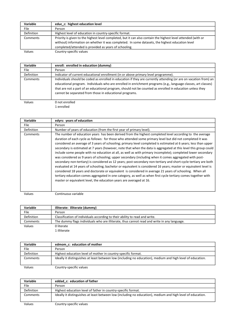| Variable    | educ c: highest education level                                                                                                                                                                                                                                           |
|-------------|---------------------------------------------------------------------------------------------------------------------------------------------------------------------------------------------------------------------------------------------------------------------------|
| <b>File</b> | Person                                                                                                                                                                                                                                                                    |
| Definition  | Highest level of education in country-specific format.                                                                                                                                                                                                                    |
| Comments    | Priority is given to the highest level completed, but it can also contain the highest level attended (with or<br>without) information on whether it was completed. In some datasets, the highest education level<br>completed/attended is provided as years of schooling. |
| Values      | Country-specific values                                                                                                                                                                                                                                                   |

| Variable    | enroll: enrolled in education (dummy)                                                                                                                                                                                                                                                                                                                                                                       |
|-------------|-------------------------------------------------------------------------------------------------------------------------------------------------------------------------------------------------------------------------------------------------------------------------------------------------------------------------------------------------------------------------------------------------------------|
| <b>File</b> | Person                                                                                                                                                                                                                                                                                                                                                                                                      |
| Definition  | Indicator of current educational enrollment (in or above primary level programme).                                                                                                                                                                                                                                                                                                                          |
| Comments    | Individuals should be coded as enrolled in education if they are currently attending (or are on vacation from) an<br>educational program. Individuals who are enrolled in enrichment programs (e.g., language classes, art classes)<br>that are not a part of an educational program, should not be counted as enrolled in education unless they<br>cannot be separated from those in educational programs. |
| Values      | 0 not enrolled                                                                                                                                                                                                                                                                                                                                                                                              |

1 enrolled

| Variable   | edyrs: years of education                                                                                                                                                                                                                                                                                                                                                                                                                                                                                                                                                                                                                                                                                                                                                                                                                                                                                                                                                                                                                                                                                                                                                                                                          |
|------------|------------------------------------------------------------------------------------------------------------------------------------------------------------------------------------------------------------------------------------------------------------------------------------------------------------------------------------------------------------------------------------------------------------------------------------------------------------------------------------------------------------------------------------------------------------------------------------------------------------------------------------------------------------------------------------------------------------------------------------------------------------------------------------------------------------------------------------------------------------------------------------------------------------------------------------------------------------------------------------------------------------------------------------------------------------------------------------------------------------------------------------------------------------------------------------------------------------------------------------|
| File       | Person                                                                                                                                                                                                                                                                                                                                                                                                                                                                                                                                                                                                                                                                                                                                                                                                                                                                                                                                                                                                                                                                                                                                                                                                                             |
| Definition | Number of years of education (from the first year of primary level).                                                                                                                                                                                                                                                                                                                                                                                                                                                                                                                                                                                                                                                                                                                                                                                                                                                                                                                                                                                                                                                                                                                                                               |
| Comments   | The number of education years has been derived from the highest completed level according to the average<br>duration of each cycle as follows: for those who attended some primary level but did not completed it was<br>considered an average of 3 years of schooling; primary level completed is estimated at 6 years; less than upper<br>secondary is estimated at 7 years (however, note that when the data is aggregated at this level this group could<br>include some people with no education at all, as well as with primary incomplete); completed lower secondary<br>was considered as 9 years of schooling; upper secondary (including when it comes aggregated with post-<br>secondary non-tertiary) is considered as 12 years; post-secondary non-tertiary and short-cycle tertiary are both<br>evaluated at 14 years of schooling; bachelor or equivalent is considered 16 years; master or equivalent level is<br>considered 18 years and doctorate or equivalent is considered in average 21 years of schooling. When all<br>tertiary education comes aggregated in one category, as well as when first cycle tertiary comes together with<br>master or equivalent level, the education years are averaged at 16. |

Values Continuous variable

| Variable    | illiterate: illiterate (dummy)                                                              |
|-------------|---------------------------------------------------------------------------------------------|
| <b>File</b> | Person                                                                                      |
| Definition  | Classification of individuals according to their ability to read and write.                 |
| Comments    | The dummy flags individuals who are illiterate, thus cannot read and write in any language. |
| Values      | 0 literate                                                                                  |
|             | 1 illiterate                                                                                |

| <b>Variable</b>   | edmom c: education of mother                                                                                |
|-------------------|-------------------------------------------------------------------------------------------------------------|
| File              | Person                                                                                                      |
| <b>Definition</b> | Highest education level of mother in country-specific format.                                               |
| Comments          | Ideally it distinguishes at least between low (including no education), medium and high level of education. |
| .                 | $ -$                                                                                                        |

Values Country-specific values

| Variable   | eddad c: education of father                                                                                |
|------------|-------------------------------------------------------------------------------------------------------------|
| File       | Person                                                                                                      |
| Definition | Highest education level of father in country-specific format.                                               |
| Comments   | Ideally it distinguishes at least between low (including no education), medium and high level of education. |
| Values     | Country-specific values                                                                                     |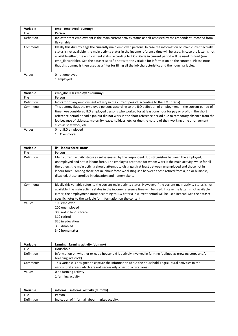| Variable          | emp: employed (dummy)                                                                                                                                                                                                                                                                                                                                                                                                                                                                                                                                                                   |
|-------------------|-----------------------------------------------------------------------------------------------------------------------------------------------------------------------------------------------------------------------------------------------------------------------------------------------------------------------------------------------------------------------------------------------------------------------------------------------------------------------------------------------------------------------------------------------------------------------------------------|
| File              | Person                                                                                                                                                                                                                                                                                                                                                                                                                                                                                                                                                                                  |
| <b>Definition</b> | Indicator that employment is the main current activity status as self-assessed by the respondent (recoded from                                                                                                                                                                                                                                                                                                                                                                                                                                                                          |
|                   | Ifs variable).                                                                                                                                                                                                                                                                                                                                                                                                                                                                                                                                                                          |
| Comments          | Ideally this dummy flags the currently main employed persons. In case the information on main current activity<br>status is not available, the main activity status in the income reference time will be used. In case the latter is not<br>available either, the employment status according to ILO criteria in current period will be used instead (see<br>emp ilo variable). See the dataset-specific notes to the variable for information on the content. Please note<br>that this dummy is then used as a filter for filling all the job characteristics and the hours variables. |
| Values            | 0 not employed                                                                                                                                                                                                                                                                                                                                                                                                                                                                                                                                                                          |

1 employed

| Variable    | emp ilo: ILO employed (dummy)                                                                                  |
|-------------|----------------------------------------------------------------------------------------------------------------|
| <b>File</b> | Person                                                                                                         |
| Definition  | Indicator of any employment activity in the current period (according to the ILO criteria).                    |
| Comments    | This dummy flags the employed persons according to the ILO definition of employment in the current period of   |
|             | time. Are considered ILO employed persons who worked for at least one hour for pay or profit in the short      |
|             | reference period or had a job but did not work in the short reference period due to temporary absence from the |
|             | job because of sickness, maternity leave, holidays, etc. or due the nature of their working time arrangement,  |
|             | such as shift work, etc.                                                                                       |
| Values      | 0 not ILO employed                                                                                             |

1 ILO employed

| Variable    | Ifs: labour force status                                                                                                                                                                                                                                                                                                                                                                                                                                                                                   |
|-------------|------------------------------------------------------------------------------------------------------------------------------------------------------------------------------------------------------------------------------------------------------------------------------------------------------------------------------------------------------------------------------------------------------------------------------------------------------------------------------------------------------------|
| <b>File</b> | Person                                                                                                                                                                                                                                                                                                                                                                                                                                                                                                     |
| Definition  | Main current activity status as self-assessed by the respondent. It distinguishes between the employed,<br>unemployed and not in labour force. The employed are those for whom work is the main activity, while for all<br>the others, the main activity should attempt to distinguish at least between unemployed and those not in<br>labour force. Among those not in labour force we distinguish between those retired from a job or business,<br>disabled, those enrolled in education and homemakers. |
| Comments    | Ideally this variable refers to the current main activity status. However, if the current main activity status is not<br>available, the main activity status in the income reference time will be used. In case the latter is not available<br>either, the employment status according to ILO criteria in current period will be used instead. See the dataset-<br>specific notes to the variable for information on the content.                                                                          |
| Values      | 100 employed<br>200 unemployed<br>300 not in labour force<br>310 retired<br>320 in education<br>330 disabled<br>340 homemaker                                                                                                                                                                                                                                                                                                                                                                              |

| Variable    | farming: farming activity (dummy)                                                                          |
|-------------|------------------------------------------------------------------------------------------------------------|
| <b>File</b> | Household                                                                                                  |
| Definition  | Information on whether or not a household is actively involved in farming (defined as growing crops and/or |
|             | breeding livestock).                                                                                       |
| Comments    | This variable is designed to capture the information about the household's agricultural activities in the  |
|             | agricultural areas (which are not necessarily a part of a rural area).                                     |
| Values      | 0 no farming activity                                                                                      |
|             | 1 farming activity                                                                                         |
|             |                                                                                                            |

| Variable   | informal: informal activity (dummy)            |
|------------|------------------------------------------------|
| File       | Person                                         |
| Definition | Indication of informal labour market activity. |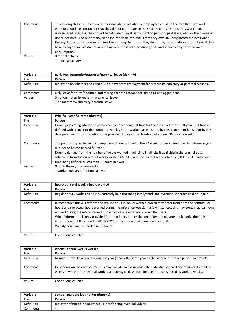| Comments | This dummy flags an indication of informal labour activity. For employees could be the fact that they work<br>without a working contract or that they do not contribute to the social security system, they work in an<br>unregistered business, they do not beneficiate of legal rights (right to pension, paid leave, etc.) or their wage is<br>under-declared. For self-employed an indication of informal is that they own an unregistered business when<br>the legislation in the country requires them to register it, that they do not pay taxes and/or contributions if they<br>have to pay them. We do not aim to flag here those who produce goods and services only for their own<br>consumption. |
|----------|--------------------------------------------------------------------------------------------------------------------------------------------------------------------------------------------------------------------------------------------------------------------------------------------------------------------------------------------------------------------------------------------------------------------------------------------------------------------------------------------------------------------------------------------------------------------------------------------------------------------------------------------------------------------------------------------------------------|
| Values   | 0 formal activity                                                                                                                                                                                                                                                                                                                                                                                                                                                                                                                                                                                                                                                                                            |
|          | 1 informal activity                                                                                                                                                                                                                                                                                                                                                                                                                                                                                                                                                                                                                                                                                          |

| <b>Variable</b>   | parleave: maternity/paternity/parental leave (dummy)                                                       |
|-------------------|------------------------------------------------------------------------------------------------------------|
| File              | Person                                                                                                     |
| <b>Definition</b> | Indication on whether the person is on leave from employment for maternity, paternity or parental reasons. |
| Comments          | Only leave for birth/adoption and raising children reasons are aimed to be flagged here.                   |
| Values            | 0 not on maternity/paternity/parental leave                                                                |
|                   | 1 on maternity/paternity/parental leave                                                                    |

| Variable   | fyft: full-year full-time (dummy)                                                                                                                                                                                                                                                                                                                                                                                               |
|------------|---------------------------------------------------------------------------------------------------------------------------------------------------------------------------------------------------------------------------------------------------------------------------------------------------------------------------------------------------------------------------------------------------------------------------------|
| File       | Person                                                                                                                                                                                                                                                                                                                                                                                                                          |
| Definition | Dummy indicating whether a person has been working full-time for the entire reference full-year. Full-time is<br>defined with respect to the number of weekly hours worked, as indicated by the respondent himself or by the<br>data provider. If no such definition is provided, LIS uses the threshold of at least 30 hours a week.                                                                                           |
| Comments   | The periods of paid leave from employment are included in the 52 weeks of employment in the reference year<br>in order to be considered full-year.<br>Dummy derived from the number of weeks worked in full-time in all jobs if available in the original data,<br>otherwise from the number of weeks worked (WEEKS) and the current work-schedule (HOURSTOT, with part-<br>time being defined as less than 30 hours per week). |
| Values     | 0 not full-year, full-time worker                                                                                                                                                                                                                                                                                                                                                                                               |
|            | 1 worked full-year, full-time last year                                                                                                                                                                                                                                                                                                                                                                                         |

| <b>Variable</b> | hourstot: total weekly hours worked                                                                                                                                                                                                                                                                                                                                                                                                                                                                                                                         |
|-----------------|-------------------------------------------------------------------------------------------------------------------------------------------------------------------------------------------------------------------------------------------------------------------------------------------------------------------------------------------------------------------------------------------------------------------------------------------------------------------------------------------------------------------------------------------------------------|
| <b>File</b>     | Person                                                                                                                                                                                                                                                                                                                                                                                                                                                                                                                                                      |
| Definition      | Regular hours worked at all jobs currently held (including family work and overtime, whether paid or unpaid).                                                                                                                                                                                                                                                                                                                                                                                                                                               |
| Comments        | In most cases this will refer to the regular or usual hours worked (which may differ from both the contractual<br>hours and the actual hours worked during the reference week). In a few instances, this may contain actual hours<br>worked during the reference week, in which case a note would warn the users.<br>When information is only provided for the primary job, or the dependent employment jobs only, then this<br>information is still included in HOURSTOT, but a note would warn users about it.<br>Weekly hours are top-coded at 99 hours. |

| <b>Variable</b> | weeks: annual weeks worked                                                                                                                                                                                             |
|-----------------|------------------------------------------------------------------------------------------------------------------------------------------------------------------------------------------------------------------------|
| <b>File</b>     | Person                                                                                                                                                                                                                 |
| Definition      | Number of weeks worked during the year (ideally the same year as the income reference period) in any job.                                                                                                              |
| Comments        | Depending on the data source, this may include weeks in which the individual worked any hours or it could be<br>weeks in which the individual worked a majority of days. Paid holidays are considered as worked weeks. |
| Values          | Continuous variable                                                                                                                                                                                                    |

| Variable          | seciob: multiple jobs holder (dummy)                              |
|-------------------|-------------------------------------------------------------------|
| File              | Person                                                            |
| <b>Definition</b> | Indicator of multiple simultaneous jobs for employed individuals. |
| Comments          |                                                                   |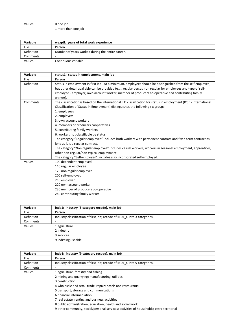| Values | 0 one job           |
|--------|---------------------|
|        | 1 more than one job |

| Variable   | wexptl: years of total work experience           |
|------------|--------------------------------------------------|
| File       | Person                                           |
| Definition | Number of years worked during the entire career. |
| Comments   |                                                  |
| Values     | Continuous variable                              |

| Variable   | status1: status in employment, main job                                                                                                                                                                                                                                                                                                                                                                                                                                                                                                                                                                                                                                                                                                                                 |
|------------|-------------------------------------------------------------------------------------------------------------------------------------------------------------------------------------------------------------------------------------------------------------------------------------------------------------------------------------------------------------------------------------------------------------------------------------------------------------------------------------------------------------------------------------------------------------------------------------------------------------------------------------------------------------------------------------------------------------------------------------------------------------------------|
| File       | Person                                                                                                                                                                                                                                                                                                                                                                                                                                                                                                                                                                                                                                                                                                                                                                  |
| Definition | Status in employment in first job. At a minimum, employees should be distinguished from the self employed,<br>but other detail available can be provided (e.g., regular versus non regular for employees and type of self-<br>employed - employer, own-account worker, member of producers co-operative and contributing family<br>worker).                                                                                                                                                                                                                                                                                                                                                                                                                             |
| Comments   | The classification is based on the international ILO classification for status in employment (ICSE - International<br>Classification of Status in Employment) distinguishes the following six groups:<br>1. employees<br>2. employers<br>3. own account workers<br>4. members of producers cooperatives<br>5. contributing family workers<br>6. workers not classifiable by status<br>The category "Regular employee" includes both workers with permanent contract and fixed term contract as<br>long as it is a regular contract.<br>The category "Non regular employee" includes casual workers, workers in seasonal employment, apprentices,<br>other non-regular/non-typical employment.<br>The category "Self-employed" includes also incorporated self-employed. |
| Values     | 100 dependent employed<br>110 regular employee<br>120 non regular employee<br>200 self-employed<br>210 employer<br>220 own-account worker<br>230 member of producers co-operative<br>240 contributing family worker                                                                                                                                                                                                                                                                                                                                                                                                                                                                                                                                                     |

| Variable    | inda1: industry (3-category recode), main job                             |
|-------------|---------------------------------------------------------------------------|
| <b>File</b> | Person                                                                    |
| Definition  | Industry classification of first job; recode of IND1_C into 3 categories. |
| Comments    | -                                                                         |
| Values      | 1 agriculture                                                             |
|             | 2 industry                                                                |
|             | 3 services                                                                |
|             | 9 indistinguishable                                                       |

| Variable   | indb1: industry (9-category recode), main job                                            |
|------------|------------------------------------------------------------------------------------------|
| File       | Person                                                                                   |
| Definition | Industry classification of first job; recode of IND1 C into 9 categories.                |
| Comments   |                                                                                          |
| Values     | 1 agriculture, forestry and fishing                                                      |
|            | 2 mining and quarrying; manufacturing; utilities                                         |
|            | 3 construction                                                                           |
|            | 4 wholesale and retail trade, repair; hotels and restaurants                             |
|            | 5 transport, storage and communications                                                  |
|            | 6 financial intermediation                                                               |
|            | 7 real estate, renting and business activities                                           |
|            | 8 public administration; education; health and social work                               |
|            | 9 other community, social/personal services; activities of households; extra-territorial |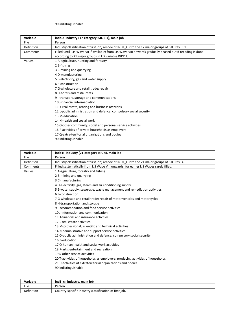# 90 indistinguishable

| Variable   | indc1: industry (17-category ISIC 3.1), main job                                                            |
|------------|-------------------------------------------------------------------------------------------------------------|
| File       | Person                                                                                                      |
| Definition | Industry classification of first job; recode of IND1_C into the 17 major groups of ISIC Rev. 3.1.           |
| Comments   | Filled until LIS Wave VII if available; from LIS Wave VIII onwards gradually phased out if recoding is done |
|            | according to 21 major groups in LIS variable INDD1.                                                         |
| Values     | 1 A-agriculture, hunting and forestry                                                                       |
|            | 2 B-fishing                                                                                                 |
|            | 3 C-mining and quarrying                                                                                    |
|            | 4 D-manufacturing                                                                                           |
|            | 5 E-electricity, gas and water supply                                                                       |
|            | 6 F-construction                                                                                            |
|            | 7 G-wholesale and retail trade; repair                                                                      |
|            | 8 H-hotels and restaurants                                                                                  |
|            | 9 I-transport, storage and communications                                                                   |
|            | 10 J-financial intermediation                                                                               |
|            | 11 K-real estate, renting and business activities                                                           |
|            | 12 L-public administration and defence; compulsory social security                                          |
|            | 13 M-education                                                                                              |
|            | 14 N-health and social work                                                                                 |
|            | 15 O-other community, social and personal service activities                                                |
|            | 16 P-activities of private households as employers                                                          |
|            | 17 Q-extra-territorial organizations and bodies                                                             |
|            |                                                                                                             |

|  | 90 indistinguishable |
|--|----------------------|
|--|----------------------|

| Variable   | indd1: industry (21-category ISIC 4), main job                                                  |
|------------|-------------------------------------------------------------------------------------------------|
| File       | Person                                                                                          |
| Definition | Industry classification of first job; recode of IND1 C into the 21 major groups of ISIC Rev. 4. |
| Comments   | Filled systematically from LIS Wave VIII onwards; for earlier LIS Waves rarely filled.          |
| Values     | 1 A-agriculture, forestry and fishing                                                           |
|            | 2 B-mining and quarrying                                                                        |
|            | 3 C-manufacturing                                                                               |
|            | 4 D-electricity, gas, steam and air conditioning supply                                         |
|            | 5 E-water supply; sewerage, waste management and remediation activities                         |
|            | 6 F-construction                                                                                |
|            | 7 G-wholesale and retail trade; repair of motor vehicles and motorcycles                        |
|            | 8 H-transportation and storage                                                                  |
|            | 9 I-accommodation and food service activities                                                   |
|            | 10 J-information and communication                                                              |
|            | 11 K-financial and insurance activities                                                         |
|            | 12 L-real estate activities                                                                     |
|            | 13 M-professional, scientific and technical activities                                          |
|            | 14 N-administrative and support service activities                                              |
|            | 15 O-public administration and defence; compulsory social security                              |
|            | 16 P-education                                                                                  |
|            | 17 Q-human health and social work activities                                                    |
|            | 18 R-arts, entertainment and recreation                                                         |
|            | 19 S-other service activities                                                                   |
|            | 20 T-activities of households as employers; producing activities of households                  |
|            | 21 U-activities of extraterritorial organizations and bodies                                    |
|            | 90 indistinguishable                                                                            |

| <b>Variable</b> | ind1 c: industry, main job                             |
|-----------------|--------------------------------------------------------|
| File            | Person                                                 |
| Definition      | Country-specific industry classification of first job. |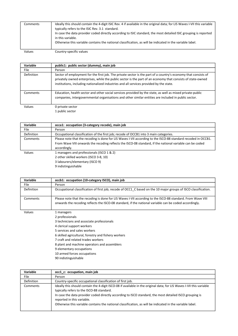| Comments | Ideally this should contain the 4-digit ISIC Rev. 4 if available in the original data; for LIS Waves I-VII this variable<br>typically refers to the ISIC Rev. 3.1 standard.                                                                        |
|----------|----------------------------------------------------------------------------------------------------------------------------------------------------------------------------------------------------------------------------------------------------|
|          | In case the data provider coded directly according to ISIC standard, the most detailed ISIC grouping is reported<br>in this variable.<br>Otherwise this variable contains the national classification, as will be indicated in the variable label. |

Values Country-specific values

| Variable    | public1: public sector (dummy), main job                                                                                                                                                                                                                                                                                 |
|-------------|--------------------------------------------------------------------------------------------------------------------------------------------------------------------------------------------------------------------------------------------------------------------------------------------------------------------------|
| <b>File</b> | Person                                                                                                                                                                                                                                                                                                                   |
| Definition  | Sector of employment for the first job. The private sector is the part of a country's economy that consists of<br>privately owned enterprises, while the public sector is the part of an economy that consists of state-owned<br>institutions, including nationalized industries and all services provided by the state. |
| Comments    | Education, health sector and other social services provided by the state, as well as mixed private-public<br>companies, intergovernmental organisations and other similar entities are included in public sector.                                                                                                        |
| Values      | 0 private sector<br>1 public sector                                                                                                                                                                                                                                                                                      |

| <b>Variable</b> | occa1: occupation (3-category recode), main job                                                               |
|-----------------|---------------------------------------------------------------------------------------------------------------|
| File            | Person                                                                                                        |
| Definition      | Occupational classification of the first job; recode of OCCB1 into 3 main categories.                         |
| Comments        | Please note that the recoding is done for LIS Waves I-VII according to the ISCO-88 standard recoded in OCCB1. |
|                 | From Wave VIII onwards the recoding reflects the ISCO-08 standard, if the national variable can be coded      |
|                 | accordingly.                                                                                                  |
| Values          | 1 managers and professionals (ISCO 1 & 2)                                                                     |
|                 | 2 other skilled workers (ISCO 3-8, 10)                                                                        |
|                 | 3 labourers/elementary (ISCO 9)                                                                               |
|                 | 9 indistinguishable                                                                                           |

| Variable    | occb1: occupation (10-category ISCO), main job                                                                                                                                                                        |
|-------------|-----------------------------------------------------------------------------------------------------------------------------------------------------------------------------------------------------------------------|
| <b>File</b> | Person                                                                                                                                                                                                                |
| Definition  | Occupational classification of first job; recode of OCC1 C based on the 10 major groups of ISCO classification.                                                                                                       |
| Comments    | Please note that the recoding is done for LIS Waves I-VII according to the ISCO-88 standard. From Wave VIII<br>onwards the recoding reflects the ISCO-08 standard, if the national variable can be coded accordingly. |
| Values      | 1 managers                                                                                                                                                                                                            |
|             | 2 professionals                                                                                                                                                                                                       |
|             | 3 technicians and associate professionals                                                                                                                                                                             |
|             | 4 clerical support workers                                                                                                                                                                                            |
|             | 5 services and sales workers                                                                                                                                                                                          |
|             | 6 skilled agricultural, forestry and fishery workers                                                                                                                                                                  |
|             | 7 craft and related trades workers                                                                                                                                                                                    |
|             | 8 plant and machine operators and assemblers                                                                                                                                                                          |
|             | 9 elementary occupations                                                                                                                                                                                              |
|             | 10 armed forces occupations                                                                                                                                                                                           |
|             | 90 indistinguishable                                                                                                                                                                                                  |

| Variable    | occ1_c: occupation, main job                                                                                                                                                                                                                                                                                                                                                                                            |
|-------------|-------------------------------------------------------------------------------------------------------------------------------------------------------------------------------------------------------------------------------------------------------------------------------------------------------------------------------------------------------------------------------------------------------------------------|
| <b>File</b> | Person                                                                                                                                                                                                                                                                                                                                                                                                                  |
| Definition  | Country-specific occupational classification of first job.                                                                                                                                                                                                                                                                                                                                                              |
| Comments    | Ideally this should contain the 4-digit ISCO-08 if available in the original data; for LIS Waves I-VII this variable<br>typically refers to the ISCO-88 standard.<br>In case the data provider coded directly according to ISCO standard, the most detailed ISCO grouping is<br>reported in this variable.<br>Otherwise this variable contains the national classification, as will be indicated in the variable label. |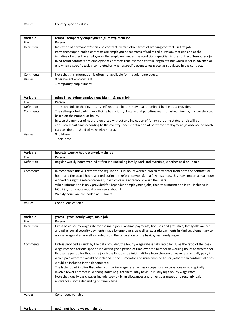| temp1: temporary employment (dummy), main job                                                                                                                                                                                                                                                                                                                                                                                                                                                                                                                |
|--------------------------------------------------------------------------------------------------------------------------------------------------------------------------------------------------------------------------------------------------------------------------------------------------------------------------------------------------------------------------------------------------------------------------------------------------------------------------------------------------------------------------------------------------------------|
| Person                                                                                                                                                                                                                                                                                                                                                                                                                                                                                                                                                       |
| Indication of permanent/open-end contracts versus other types of working contracts in first job.<br>Permanent/open-ended contracts are employment contracts of unlimited duration, that can end at the<br>initiative of either the employer or the employee, under the conditions specified in the contract. Temporary (or<br>fixed-term) contracts are employment contracts that last for a certain length of time which is set in advance or<br>end when a specific task is completed or when a specific event takes place, as stipulated in the contract. |
| Note that this information is often not available for irregular employees.                                                                                                                                                                                                                                                                                                                                                                                                                                                                                   |
| 0 permanent employment                                                                                                                                                                                                                                                                                                                                                                                                                                                                                                                                       |
|                                                                                                                                                                                                                                                                                                                                                                                                                                                                                                                                                              |

1 temporary employment

| Variable    | ptime1: part-time employment (dummy), main job                                                                       |
|-------------|----------------------------------------------------------------------------------------------------------------------|
| <b>File</b> | Person                                                                                                               |
| Definition  | Time schedule in the first job, as self-reported by the individual or defined by the data provider.                  |
| Comments    | The self-reported part-time/full-time has priority. In case that part-time was not asked directly, it is constructed |
|             | based on the number of hours.                                                                                        |
|             | In case the number of hours is reported without any indication of full or part time status, a job will be            |
|             | considered part time according to the country specific definition of part time employment (in absence of which       |
|             | LIS uses the threshold of 30 weekly hours).                                                                          |
| Values      | 0 full-time                                                                                                          |

<sup>1</sup> part-time

| Variable   | hours1: weekly hours worked, main job                                                                                                                                                                                                                                                                                                                                                                                                                                                                                        |
|------------|------------------------------------------------------------------------------------------------------------------------------------------------------------------------------------------------------------------------------------------------------------------------------------------------------------------------------------------------------------------------------------------------------------------------------------------------------------------------------------------------------------------------------|
| File       | Person                                                                                                                                                                                                                                                                                                                                                                                                                                                                                                                       |
| Definition | Regular weekly hours worked at first job (including family work and overtime, whether paid or unpaid).                                                                                                                                                                                                                                                                                                                                                                                                                       |
| Comments   | In most cases this will refer to the regular or usual hours worked (which may differ from both the contractual<br>hours and the actual hours worked during the reference week). In a few instances, this may contain actual hours<br>worked during the reference week, in which case a note would warn the users.<br>When information is only provided for dependent employment jobs, then this information is still included in<br>HOURS1, but a note would warn users about it.<br>Weekly hours are top-coded at 99 hours. |

Values Continuous variable

| Variable    | gross1: gross hourly wage, main job                                                                                                                                                                                                                                                                                                                                                                                                                                                                                                                                                                                                                                                                                                                                                                                                                                                          |
|-------------|----------------------------------------------------------------------------------------------------------------------------------------------------------------------------------------------------------------------------------------------------------------------------------------------------------------------------------------------------------------------------------------------------------------------------------------------------------------------------------------------------------------------------------------------------------------------------------------------------------------------------------------------------------------------------------------------------------------------------------------------------------------------------------------------------------------------------------------------------------------------------------------------|
| <b>File</b> | Person                                                                                                                                                                                                                                                                                                                                                                                                                                                                                                                                                                                                                                                                                                                                                                                                                                                                                       |
| Definition  | Gross basic hourly wage rate for the main job. Overtime payments, bonuses and gratuities, family allowances<br>and other social security payments made by employers, as well as ex gratia payments in kind supplementary to<br>normal wage rates, are all excluded from the calculation of the basic gross hourly wage.                                                                                                                                                                                                                                                                                                                                                                                                                                                                                                                                                                      |
| Comments    | Unless provided as such by the data provider, the hourly wage rate is calculated by LIS as the ratio of the basic<br>wage received for one specific job over a given period of time over the number of working hours contracted for<br>that same period for that same job. Note that this definition differs from the one of wage rate actually paid, in<br>which paid overtime would be included in the numerator and usual worked hours (rather than contractual ones))<br>would be included in the denominator.<br>The latter point implies that when comparing wage rates across occupations, occupations which typically<br>involve fewer contractual working hours (e.g. teachers) may have unusually high hourly wage rates.<br>Note that ideally basic wages include cost-of-living allowances and other guaranteed and regularly paid<br>allowances, some depending on family type. |
| Values      | Continuous variable                                                                                                                                                                                                                                                                                                                                                                                                                                                                                                                                                                                                                                                                                                                                                                                                                                                                          |

Variable **net1:** net hourly wage, main job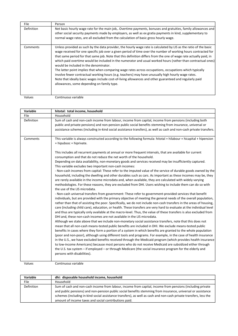| File       | Person                                                                                                                                                                                                                                                                                                                                                                                                                                                                                                                                                                                                                                                                                                                                                                                                                                                                                       |
|------------|----------------------------------------------------------------------------------------------------------------------------------------------------------------------------------------------------------------------------------------------------------------------------------------------------------------------------------------------------------------------------------------------------------------------------------------------------------------------------------------------------------------------------------------------------------------------------------------------------------------------------------------------------------------------------------------------------------------------------------------------------------------------------------------------------------------------------------------------------------------------------------------------|
| Definition | Net basic hourly wage rate for the main job,. Overtime payments, bonuses and gratuities, family allowances and<br>other social security payments made by employers, as well as ex gratia payments in kind, supplementary to<br>normal wage rates, are all excluded from the calculation of basic gross hourly wage.                                                                                                                                                                                                                                                                                                                                                                                                                                                                                                                                                                          |
| Comments   | Unless provided as such by the data provider, the hourly wage rate is calculated by LIS as the ratio of the basic<br>wage received for one specific job over a given period of time over the number of working hours contracted for<br>that same period for that same job. Note that this definition differs from the one of wage rate actually paid, in<br>which paid overtime would be included in the numerator and usual worked hours (rather than contractual ones))<br>would be included in the denominator.<br>The latter point implies that when comparing wage rates across occupations, occupations which typically<br>involve fewer contractual working hours (e.g. teachers) may have unusually high hourly wage rates.<br>Note that ideally basic wages include cost-of-living allowances and other guaranteed and regularly paid<br>allowances, some depending on family type. |

| Variable   | hitotal: total income, household                                                                                                                                                                                                                                                                                                                                                                                                                                                                                                                                                                                                                                                                                                                                                                                                                                                                                                                                                                                                                                                                                                                                                                                                                                                                                                                                                                                                                                                                                                                                                                                                                                                                                                                                                                                                                                                                                                                                                                                                                                                                                                                                                                                            |
|------------|-----------------------------------------------------------------------------------------------------------------------------------------------------------------------------------------------------------------------------------------------------------------------------------------------------------------------------------------------------------------------------------------------------------------------------------------------------------------------------------------------------------------------------------------------------------------------------------------------------------------------------------------------------------------------------------------------------------------------------------------------------------------------------------------------------------------------------------------------------------------------------------------------------------------------------------------------------------------------------------------------------------------------------------------------------------------------------------------------------------------------------------------------------------------------------------------------------------------------------------------------------------------------------------------------------------------------------------------------------------------------------------------------------------------------------------------------------------------------------------------------------------------------------------------------------------------------------------------------------------------------------------------------------------------------------------------------------------------------------------------------------------------------------------------------------------------------------------------------------------------------------------------------------------------------------------------------------------------------------------------------------------------------------------------------------------------------------------------------------------------------------------------------------------------------------------------------------------------------------|
| File       | Household                                                                                                                                                                                                                                                                                                                                                                                                                                                                                                                                                                                                                                                                                                                                                                                                                                                                                                                                                                                                                                                                                                                                                                                                                                                                                                                                                                                                                                                                                                                                                                                                                                                                                                                                                                                                                                                                                                                                                                                                                                                                                                                                                                                                                   |
| Definition | Sum of cash and non-cash income from labour, income from capital, income from pensions (including both<br>public and private pensions) and non-pension public social benefits stemming from insurance, universal or<br>assistance schemes (including in-kind social assistance transfers), as well as cash and non-cash private transfers.                                                                                                                                                                                                                                                                                                                                                                                                                                                                                                                                                                                                                                                                                                                                                                                                                                                                                                                                                                                                                                                                                                                                                                                                                                                                                                                                                                                                                                                                                                                                                                                                                                                                                                                                                                                                                                                                                  |
| Comments   | This variable is always constructed according to the following formula: hitotal = hilabour + hicapital + hipension<br>+ hipubsoc + hiprivate.                                                                                                                                                                                                                                                                                                                                                                                                                                                                                                                                                                                                                                                                                                                                                                                                                                                                                                                                                                                                                                                                                                                                                                                                                                                                                                                                                                                                                                                                                                                                                                                                                                                                                                                                                                                                                                                                                                                                                                                                                                                                               |
|            | This includes all recurrent payments at annual or more frequent intervals, that are available for current<br>consumption and that do not reduce the net worth of the household.<br>Depending on data availability, non-monetary goods and services received may be insufficiently captured.<br>This variable excludes two important non-cash incomes:<br>- Non-cash incomes from capital: These refer to the imputed value of the service of durable goods owned by the<br>household, including the dwelling and other durables such as cars. As important as these incomes may be, they<br>are rarely available in the income microdata and, when available, they are calculated with widely varying<br>methodologies. For these reasons, they are excluded from DHI. Users wishing to include them can do so with<br>the use of the LIS microdata.<br>- Non-cash universal transfers from government: These refer to government-provided services that benefit<br>individuals, but are provided with the primary objective of meeting the general needs of the overall population,<br>rather than that of assisting the poor. Specifically, we do not include non-cash transfers in the areas of housing,<br>care (including child care), education, or health. These transfers are very hard to evaluate at the individual level<br>and thus are typically only available at the macro-level. Thus, the value of these transfers is also excluded from<br>DHI and, these non-cash incomes are not available in the LIS microdata.<br>Although we state above that we include non-monetary social assistance transfers, note that this does not<br>mean that all non-cash means-tested public benefits are included in DHI. We exclude means-tested public<br>benefits in cases where they form a portion of a system in which benefits are granted to the whole population<br>(poor and non-poor), although using different tools and programs. For example, in the case of health insurance<br>in the U.S., we have excluded benefits received through the Medicaid program (which provides health insurance<br>to low-income Americans) because most persons who do not receive Medicaid are subsidized either through |
|            | the U.S. tax system - if employed - or through Medicare (the social insurance program for the elderly and<br>persons with disabilities).                                                                                                                                                                                                                                                                                                                                                                                                                                                                                                                                                                                                                                                                                                                                                                                                                                                                                                                                                                                                                                                                                                                                                                                                                                                                                                                                                                                                                                                                                                                                                                                                                                                                                                                                                                                                                                                                                                                                                                                                                                                                                    |

Values Continuous variable

Variable dhi: disposable household income, household File Household Definition Sum of cash and non-cash income from labour, income from capital, income from pensions (including private and public pensions) and non-pension public social benefits stemming from insurance, universal or assistance schemes (including in-kind social assistance transfers), as well as cash and non-cash private transfers, less the amount of income taxes and social contributions paid.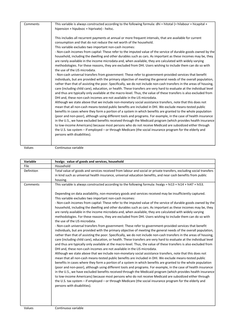| Comments | This variable is always constructed according to the following formula: dhi = hitotal (= hilabour + hicapital +      |
|----------|----------------------------------------------------------------------------------------------------------------------|
|          |                                                                                                                      |
|          | hipension + hipubsoc + hiprivate) - hxitsc.                                                                          |
|          |                                                                                                                      |
|          | This includes all recurrent payments at annual or more frequent intervals, that are available for current            |
|          | consumption and that do not reduce the net worth of the household.                                                   |
|          | This variable excludes two important non-cash incomes:                                                               |
|          | - Non-cash incomes from capital: These refer to the imputed value of the service of durable goods owned by the       |
|          | household, including the dwelling and other durables such as cars. As important as these incomes may be, they        |
|          | are rarely available in the income microdata and, when available, they are calculated with widely varying            |
|          | methodologies. For these reasons, they are excluded from DHI. Users wishing to include them can do so with           |
|          |                                                                                                                      |
|          | the use of the LIS microdata.                                                                                        |
|          | - Non-cash universal transfers from government: These refer to government-provided services that benefit             |
|          | individuals, but are provided with the primary objective of meeting the general needs of the overall population,     |
|          | rather than that of assisting the poor. Specifically, we do not include non-cash transfers in the areas of housing,  |
|          | care (including child care), education, or health. These transfers are very hard to evaluate at the individual level |
|          | and thus are typically only available at the macro-level. Thus, the value of these transfers is also excluded from   |
|          | DHI and, these non-cash incomes are not available in the LIS microdata.                                              |
|          | Although we state above that we include non-monetary social assistance transfers, note that this does not            |
|          | mean that all non-cash means-tested public benefits are included in DHI. We exclude means-tested public              |
|          |                                                                                                                      |
|          | benefits in cases where they form a portion of a system in which benefits are granted to the whole population        |
|          | (poor and non-poor), although using different tools and programs. For example, in the case of health insurance       |
|          | in the U.S., we have excluded benefits received through the Medicaid program (which provides health insurance        |
|          | to low-income Americans) because most persons who do not receive Medicaid are subsidized either through              |
|          | the U.S. tax system – if employed – or through Medicare (the social insurance program for the elderly and            |
|          | persons with disabilities).                                                                                          |
|          |                                                                                                                      |
|          |                                                                                                                      |

| Variable   | hvalgs: value of goods and services, household                                                                                                                                                                                                                                                                                                                                                                                                                                                                                                                                                                                                                                                                                                                                                                                  |
|------------|---------------------------------------------------------------------------------------------------------------------------------------------------------------------------------------------------------------------------------------------------------------------------------------------------------------------------------------------------------------------------------------------------------------------------------------------------------------------------------------------------------------------------------------------------------------------------------------------------------------------------------------------------------------------------------------------------------------------------------------------------------------------------------------------------------------------------------|
| File       | Household                                                                                                                                                                                                                                                                                                                                                                                                                                                                                                                                                                                                                                                                                                                                                                                                                       |
| Definition | Total value of goods and services received from labour and social or private transfers, excluding social transfers                                                                                                                                                                                                                                                                                                                                                                                                                                                                                                                                                                                                                                                                                                              |
|            | in kind such as universal health insurance, universal education benefits, and near cash benefits from public                                                                                                                                                                                                                                                                                                                                                                                                                                                                                                                                                                                                                                                                                                                    |
|            | housing.                                                                                                                                                                                                                                                                                                                                                                                                                                                                                                                                                                                                                                                                                                                                                                                                                        |
| Comments   | This variable is always constructed according to the following formula: hvalgs = $hi13 + hi14 + hi47 + hi53$ .                                                                                                                                                                                                                                                                                                                                                                                                                                                                                                                                                                                                                                                                                                                  |
|            | Depending on data availability, non-monetary goods and services received may be insufficiently captured.                                                                                                                                                                                                                                                                                                                                                                                                                                                                                                                                                                                                                                                                                                                        |
|            | This variable excludes two important non-cash incomes:                                                                                                                                                                                                                                                                                                                                                                                                                                                                                                                                                                                                                                                                                                                                                                          |
|            | - Non-cash incomes from capital: These refer to the imputed value of the service of durable goods owned by the                                                                                                                                                                                                                                                                                                                                                                                                                                                                                                                                                                                                                                                                                                                  |
|            | household, including the dwelling and other durables such as cars. As important as these incomes may be, they                                                                                                                                                                                                                                                                                                                                                                                                                                                                                                                                                                                                                                                                                                                   |
|            | are rarely available in the income microdata and, when available, they are calculated with widely varying                                                                                                                                                                                                                                                                                                                                                                                                                                                                                                                                                                                                                                                                                                                       |
|            | methodologies. For these reasons, they are excluded from DHI. Users wishing to include them can do so with                                                                                                                                                                                                                                                                                                                                                                                                                                                                                                                                                                                                                                                                                                                      |
|            | the use of the LIS microdata.                                                                                                                                                                                                                                                                                                                                                                                                                                                                                                                                                                                                                                                                                                                                                                                                   |
|            | - Non-cash universal transfers from government: These refer to government-provided services that benefit                                                                                                                                                                                                                                                                                                                                                                                                                                                                                                                                                                                                                                                                                                                        |
|            | individuals, but are provided with the primary objective of meeting the general needs of the overall population,<br>rather than that of assisting the poor. Specifically, we do not include non-cash transfers in the areas of housing,<br>care (including child care), education, or health. These transfers are very hard to evaluate at the individual level<br>and thus are typically only available at the macro-level. Thus, the value of these transfers is also excluded from<br>DHI and, these non-cash incomes are not available in the LIS microdata.                                                                                                                                                                                                                                                                |
|            | Although we state above that we include non-monetary social assistance transfers, note that this does not<br>mean that all non-cash means-tested public benefits are included in DHI. We exclude means-tested public<br>benefits in cases where they form a portion of a system in which benefits are granted to the whole population<br>(poor and non-poor), although using different tools and programs. For example, in the case of health insurance<br>in the U.S., we have excluded benefits received through the Medicaid program (which provides health insurance<br>to low-income Americans) because most persons who do not receive Medicaid are subsidized either through<br>the U.S. tax system - if employed - or through Medicare (the social insurance program for the elderly and<br>persons with disabilities). |
|            |                                                                                                                                                                                                                                                                                                                                                                                                                                                                                                                                                                                                                                                                                                                                                                                                                                 |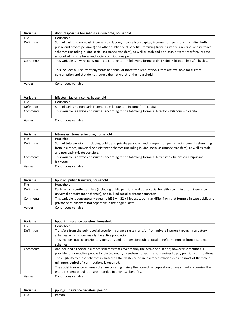| Variable    | dhci: disposable household cash income, household                                                                                                                                                                                                                                                                                                                                                      |
|-------------|--------------------------------------------------------------------------------------------------------------------------------------------------------------------------------------------------------------------------------------------------------------------------------------------------------------------------------------------------------------------------------------------------------|
| <b>File</b> | Household                                                                                                                                                                                                                                                                                                                                                                                              |
| Definition  | Sum of cash and non-cash income from labour, income from capital, income from pensions (including both<br>public and private pensions) and other public social benefits stemming from insurance, universal or assistance<br>schemes (including in-kind social assistance transfers), as well as cash and non-cash private transfers, less the<br>amount of income taxes and social contributions paid. |
| Comments    | This variable is always constructed according to the following formula: dhci = dpi (= hitotal - hxitsc) - hvalgs.<br>This includes all recurrent payments at annual or more frequent intervals, that are available for current<br>consumption and that do not reduce the net worth of the household.                                                                                                   |
| Values      | Continuous variable                                                                                                                                                                                                                                                                                                                                                                                    |

| Variable          | hifactor: factor income, household                                                                       |
|-------------------|----------------------------------------------------------------------------------------------------------|
| File              | Household                                                                                                |
| <b>Definition</b> | Sum of cash and non-cash income from labour and income from capital.                                     |
| Comments          | This variable is always constructed according to the following formula: hifactor = hilabour + hicapital. |
| Values            | Continuous variable                                                                                      |

| Variable   | hitransfer: transfer income, household                                                                           |
|------------|------------------------------------------------------------------------------------------------------------------|
| File       | Household                                                                                                        |
| Definition | Sum of total pensions (including public and private pensions) and non-pension public social benefits stemming    |
|            | from insurance, universal or assistance schemes (including in-kind social assistance transfers), as well as cash |
|            | and non-cash private transfers.                                                                                  |
| Comments   | This variable is always constructed according to the following formula: hitransfer = hipension + hipubsoc +      |
|            | hiprivate.                                                                                                       |
| Values     | Continuous variable                                                                                              |

| Variable   | hpublic: public transfers, household                                                                               |
|------------|--------------------------------------------------------------------------------------------------------------------|
| File       | Household                                                                                                          |
| Definition | Cash social security transfers (including public pensions and other social benefits stemming from insurance,       |
|            | universal or assistance schemes), and in-kind social assistance transfers.                                         |
| Comments   | This variable is conceptually equal to hi31 + hi32 + hipubsoc, but may differ from that formula in case public and |
|            | private pensions were not separable in the original data.                                                          |
| Values     | Continuous variable                                                                                                |

| Variable    | hpub i: insurance transfers, household                                                                            |
|-------------|-------------------------------------------------------------------------------------------------------------------|
| <b>File</b> | Household                                                                                                         |
| Definition  | Transfers from the public social security insurance system and/or from private insurers through mandatory         |
|             | schemes, which cover mainly the active population.                                                                |
|             | This includes public contributory pensions and non-pension public social benefits stemming from insurance         |
|             | schemes.                                                                                                          |
| Comments    | Are included all social insurance schemes that cover mainly the active population; however sometimes is           |
|             | possible for non-active people to join (voluntary) a system, for ex. the housewives to pay pension contributions. |
|             | The eligibility to these schemes is based on the existence of an insurance relationship and most of the time a    |
|             | minimum period of contributions is required.                                                                      |
|             | The social insurance schemes that are covering mainly the non-active population or are aimed at covering the      |
|             | entire resident population are recorded in universal benefits.                                                    |
| Values      | Continuous variable                                                                                               |

| riable<br>$\cdots$ | person<br>stransfers.<br>ppub<br>$- - - -$<br>rance |
|--------------------|-----------------------------------------------------|
| File               | Person                                              |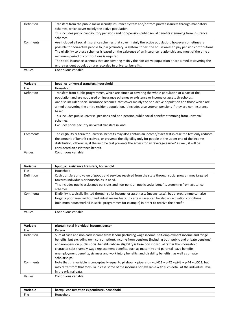| Definition | Transfers from the public social security insurance system and/or from private insurers through mandatory<br>schemes, which cover mainly the active population.<br>This includes public contributory pensions and non-pension public social benefits stemming from insurance<br>schemes.                                                                                                                                                                                                                                                                                         |
|------------|----------------------------------------------------------------------------------------------------------------------------------------------------------------------------------------------------------------------------------------------------------------------------------------------------------------------------------------------------------------------------------------------------------------------------------------------------------------------------------------------------------------------------------------------------------------------------------|
| Comments   | Are included all social insurance schemes that cover mainly the active population; however sometimes is<br>possible for non-active people to join (voluntary) a system, for ex. the housewives to pay pension contributions.<br>The eligibility to these schemes is based on the existence of an insurance relationship and most of the time a<br>minimum period of contributions is required.<br>The social insurance schemes that are covering mainly the non-active population or are aimed at covering the<br>entire resident population are recorded in universal benefits. |
| Values     | Continuous variable                                                                                                                                                                                                                                                                                                                                                                                                                                                                                                                                                              |

| Variable    | hpub u: universal transfers, household                                                                                                                                                                                                                                                                                                                                                                                                                                                                                                                                                                                        |
|-------------|-------------------------------------------------------------------------------------------------------------------------------------------------------------------------------------------------------------------------------------------------------------------------------------------------------------------------------------------------------------------------------------------------------------------------------------------------------------------------------------------------------------------------------------------------------------------------------------------------------------------------------|
| <b>File</b> | Household                                                                                                                                                                                                                                                                                                                                                                                                                                                                                                                                                                                                                     |
| Definition  | Transfers from public programmes, which are aimed at covering the whole population or a part of the<br>population and are not based on insurance schemes or existence or income or assets thresholds.<br>Are also included social insurance schemes that cover mainly the non-active population and those which are<br>aimed at covering the entire resident population. It includes also veteran pensions if they are non-insurance<br>based.<br>This includes public universal pensions and non-pension public social benefits stemming from universal<br>schemes.<br>Excludes social security universal transfers in kind. |
| Comments    | The eligibility criteria for universal benefits may also contain an income/asset test in case the test only reduces<br>the amount of benefit received, or prevents the eligibility only for people at the upper end of the income<br>distribution; otherwise, if the income test prevents the access for an 'average earner' as well, it will be<br>considered an assistance benefit.                                                                                                                                                                                                                                         |
| Values      | Continuous variable                                                                                                                                                                                                                                                                                                                                                                                                                                                                                                                                                                                                           |

| Variable   | hpub a: assistance transfers, household                                                                                                                                                                                                                                                                                 |
|------------|-------------------------------------------------------------------------------------------------------------------------------------------------------------------------------------------------------------------------------------------------------------------------------------------------------------------------|
| File       | Household                                                                                                                                                                                                                                                                                                               |
| Definition | Cash transfers and value of goods and services received from the state through social programmes targeted<br>towards individuals or households in need.<br>This includes public assistance pensions and non-pension public social benefits stemming from assitance<br>schemes.                                          |
| Comments   | Eligibility is typically limited through strict income, or asset tests (means-tests), but a programme can also<br>target a poor area, without individual means tests. In certain cases can be also an activation conditions<br>(minimum hours worked in social programmes for example) in order to receive the benefit. |

| Variable   | pitotal: total individual income, person                                                                                                                                                                                                                                                                                                                                                                                                                                                                                                                      |
|------------|---------------------------------------------------------------------------------------------------------------------------------------------------------------------------------------------------------------------------------------------------------------------------------------------------------------------------------------------------------------------------------------------------------------------------------------------------------------------------------------------------------------------------------------------------------------|
| File.      | Person                                                                                                                                                                                                                                                                                                                                                                                                                                                                                                                                                        |
| Definition | Sum of cash and non-cash income from labour (including wage income, self-employment income and fringe<br>benefits, but excluding own consumption), income from pensions (including both public and private pensions)<br>and non-pension public social benefits whose eligibility is base don individual rather than household<br>characteristics (namely wage replacement benefits, such as maternity and parental leave benefits,<br>unemployment benefits, sickness and work injury benefits, and disability benefits), as well as private<br>scholarships. |
| Comments   | Note that this variable is conceptually equal to pilabour + pipension + pi411 + pi42 + pi43 + pi44 + pi511, but<br>may differ from that formula in case some of the incomes not available with such detail at the individual level<br>in the original data.                                                                                                                                                                                                                                                                                                   |
| Values     | Continuous variable                                                                                                                                                                                                                                                                                                                                                                                                                                                                                                                                           |

| Variable | expenditure.<br>household<br>consumption<br>. |
|----------|-----------------------------------------------|
| File     | noid                                          |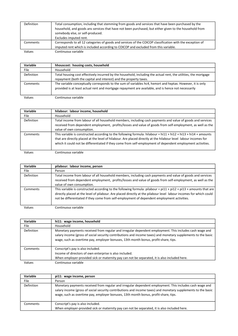| <b>Definition</b> | Total consumption, including that stemming from goods and services that have been purchased by the        |
|-------------------|-----------------------------------------------------------------------------------------------------------|
|                   | household, and goods ans services that have not been purchased, but either given to the household from    |
|                   | somebody else, or self-produced.                                                                          |
|                   | Excludes imputed rent.                                                                                    |
| Comments          | Corresponds to all 12 categories of goods and services of the COICOP classification with the exception of |
|                   | imputed rent which is included according to COICOP and excluded from this variable.                       |
| Values            | Continuous variable                                                                                       |

| Variable   | hhouscost: housing costs, household                                                                                                                                                                              |
|------------|------------------------------------------------------------------------------------------------------------------------------------------------------------------------------------------------------------------|
| File       | Household                                                                                                                                                                                                        |
| Definition | Total housing cost effectively incurred by the household, including the actual rent, the utilities, the mortgage<br>repayment (both the capital and interest) and the property taxes.                            |
| Comments   | The variable conceptually corresponds to the sum of variables hc4, hxmort and hxptax. However, it is only<br>provided is at least actual rent and mortgage repayment are available, and is hence not necessarily |

| Variable    | hilabour: labour income, household                                                                                                                                                                                                                                                                                                                 |
|-------------|----------------------------------------------------------------------------------------------------------------------------------------------------------------------------------------------------------------------------------------------------------------------------------------------------------------------------------------------------|
| <b>File</b> | Household                                                                                                                                                                                                                                                                                                                                          |
| Definition  | Total income from labour of all household members, including cash payments and value of goods and services<br>received from dependent employment, profits/losses and value of goods from self-employment, as well as the<br>value of own consumption.                                                                                              |
| Comments    | This variable is constructed according to the following formula: hilabour = $hi11 + hi12 + hi13 + hi14 + amounts$<br>that are directly placed at the level of hilabour. Are placed directly at the hilabour level labour incomes for<br>which it could not be differentiated if they come from self-employment of dependent employment activities. |

Values Continuous variable

| Variable    | pilabour: labour income, person                                                                                                                                                                                                                                                                                                          |
|-------------|------------------------------------------------------------------------------------------------------------------------------------------------------------------------------------------------------------------------------------------------------------------------------------------------------------------------------------------|
| <b>File</b> | Person                                                                                                                                                                                                                                                                                                                                   |
| Definition  | Total income from labour of all household members, including cash payments and value of goods and services<br>received from dependent employment, profits/losses and value of goods from self-employment, as well as the<br>value of own consumption.                                                                                    |
| Comments    | This variable is constructed according to the following formula: pilabour = $pi11 + pi12 + pi13 + amounts$ that are<br>directly placed at the level of pilabour. Are placed directly at the pilabour level labour incomes for which could<br>not be differentiated if they come from self-employment of dependent employment activities. |

| Variable          | hi11: wage income, household                                                                                                                                                                                                                                                                                    |
|-------------------|-----------------------------------------------------------------------------------------------------------------------------------------------------------------------------------------------------------------------------------------------------------------------------------------------------------------|
| File.             | Household                                                                                                                                                                                                                                                                                                       |
| <b>Definition</b> | Monetary payments received from regular and irregular dependent employment. This includes cash wage and<br>salary income (gross of social security contributions and income taxes) and monetary supplements to the basic<br>wage, such as overtime pay, employer bonuses, 13th month bonus, profit-share, tips. |
| Comments          | Conscript's pay is also included.<br>Income of directors of own enterprise is also included.<br>When employer-provided sick or maternity pay can not be separated, it is also included here.                                                                                                                    |
| Values            | Continuous variable                                                                                                                                                                                                                                                                                             |

| Variable          | pi11: wage income, person                                                                                                                                                                                                                                                                                       |
|-------------------|-----------------------------------------------------------------------------------------------------------------------------------------------------------------------------------------------------------------------------------------------------------------------------------------------------------------|
| File              | Person                                                                                                                                                                                                                                                                                                          |
| <b>Definition</b> | Monetary payments received from regular and irregular dependent employment. This includes cash wage and<br>salary income (gross of social security contributions and income taxes) and monetary supplements to the basic<br>wage, such as overtime pay, employer bonuses, 13th month bonus, profit-share, tips. |
| Comments          | Conscript's pay is also included.                                                                                                                                                                                                                                                                               |
|                   | When employer-provided sick or maternity pay can not be separated, it is also included here.                                                                                                                                                                                                                    |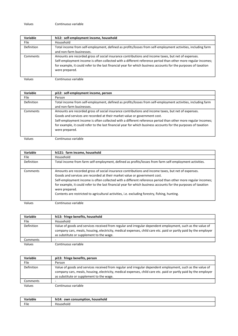| Variable   | hi12: self-employment income, household                                                                                                                                                                                                                                                                                                                  |
|------------|----------------------------------------------------------------------------------------------------------------------------------------------------------------------------------------------------------------------------------------------------------------------------------------------------------------------------------------------------------|
| File       | Household                                                                                                                                                                                                                                                                                                                                                |
| Definition | Total income from self-employment, defined as profits/losses from self-employment activities, including farm<br>and non-farm businesses.                                                                                                                                                                                                                 |
| Comments   | Amounts are recorded gross of social insurance contributions and income taxes, but net of expenses.<br>Self-employment income is often collected with a different reference period than other more regular incomes;<br>for example, it could refer to the last financial year for which business accounts for the purposes of taxation<br>were prepared. |

Values Continuous variable

| Variable    | pi12: self-employment income, person                                                                                                                                                                                                                                                                                                                                                                                                  |
|-------------|---------------------------------------------------------------------------------------------------------------------------------------------------------------------------------------------------------------------------------------------------------------------------------------------------------------------------------------------------------------------------------------------------------------------------------------|
| <b>File</b> | Person                                                                                                                                                                                                                                                                                                                                                                                                                                |
| Definition  | Total income from self-employment, defined as profits/losses from self-employment activities, including farm<br>and non-farm businesses.                                                                                                                                                                                                                                                                                              |
| Comments    | Amounts are recorded gross of social insurance contributions and income taxes, but net of expenses.<br>Goods and services are recorded at their market value or government cost.<br>Self-employment income is often collected with a different reference period than other more regular incomes;<br>for example, it could refer to the last financial year for which business accounts for the purposes of taxation<br>were prepared. |

| Variable    | hi121: farm income, household                                                                                                                                                                                                                                                                                                                                                                                                                                                                                                           |
|-------------|-----------------------------------------------------------------------------------------------------------------------------------------------------------------------------------------------------------------------------------------------------------------------------------------------------------------------------------------------------------------------------------------------------------------------------------------------------------------------------------------------------------------------------------------|
| <b>File</b> | Household                                                                                                                                                                                                                                                                                                                                                                                                                                                                                                                               |
| Definition  | Total income from farm self-employment, defined as profits/losses from farm self-employment activities.                                                                                                                                                                                                                                                                                                                                                                                                                                 |
| Comments    | Amounts are recorded gross of social insurance contributions and income taxes, but net of expenses.<br>Goods and services are recorded at their market value or government cost.<br>Self-employment income is often collected with a different reference period than other more regular incomes;<br>for example, it could refer to the last financial year for which business accounts for the purposes of taxation<br>were prepared.<br>Contents are restricted to agricultural activities, i.e. excluding forestry, fishing, hunting. |
| Values      | Continuous variable                                                                                                                                                                                                                                                                                                                                                                                                                                                                                                                     |

| Variable   | hi13: fringe benefits, household                                                                                                                                                                                                                                           |
|------------|----------------------------------------------------------------------------------------------------------------------------------------------------------------------------------------------------------------------------------------------------------------------------|
| File       | Household                                                                                                                                                                                                                                                                  |
| Definition | Value of goods and services received from regular and irregular dependent employment, such as the value of<br>company cars, meals, housing, electricity, medical expenses, child care etc. paid or partly paid by the employer<br>as substitute or supplement to the wage. |
| Comments   |                                                                                                                                                                                                                                                                            |
| Values     | Continuous variable                                                                                                                                                                                                                                                        |

| Variable    | pi13: fringe benefits, person                                                                                                                                                                                                                                              |
|-------------|----------------------------------------------------------------------------------------------------------------------------------------------------------------------------------------------------------------------------------------------------------------------------|
| <b>File</b> | Person                                                                                                                                                                                                                                                                     |
| Definition  | Value of goods and services received from regular and irregular dependent employment, such as the value of<br>company cars, meals, housing, electricity, medical expenses, child care etc. paid or partly paid by the employer<br>as substitute or supplement to the wage. |
| Comments    |                                                                                                                                                                                                                                                                            |
| Values      | Continuous variable                                                                                                                                                                                                                                                        |

| Variable | .<br>household<br>hi14<br>notion<br><b><i><u>ALLEY AND </u></i></b><br>own<br>` consun |
|----------|----------------------------------------------------------------------------------------|
| File     | ∵rehola —                                                                              |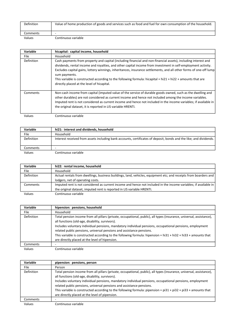| Definition | Value of home production of goods and services such as food and fuel for own consumption of the household. |
|------------|------------------------------------------------------------------------------------------------------------|
| Comments   |                                                                                                            |
| Values     | Continuous variable                                                                                        |

| Variable    | hicapital: capital income, household                                                                                                                                                                                                                                                                                                                                                                                                                                                                                                  |
|-------------|---------------------------------------------------------------------------------------------------------------------------------------------------------------------------------------------------------------------------------------------------------------------------------------------------------------------------------------------------------------------------------------------------------------------------------------------------------------------------------------------------------------------------------------|
| <b>File</b> | Household                                                                                                                                                                                                                                                                                                                                                                                                                                                                                                                             |
| Definition  | Cash payments from property and capital (including financial and non-financial assets), including interest and<br>dividends, rental income and royalties, and other capital income from investment in self-employment activity.<br>Excludes capital gains, lottery winnings, inheritances, insurance settlements, and all other forms of one-off lump<br>sum payments.<br>This variable is constructed according to the following formula: hicapital = $hi21 + hi22 + amounts$ that are<br>directly placed at the level of hicapital. |
| Comments    | Non-cash income from capital (imputed value of the service of durable goods owned, such as the dwelling and<br>other durables) are not considered as current income and hence not included among the income variables.<br>Imputed rent is not considered as current income and hence not included in the income variables; if available in<br>the original dataset, it is reported in LIS variable HRENTI.                                                                                                                            |
| Values      | Continuous variable                                                                                                                                                                                                                                                                                                                                                                                                                                                                                                                   |

| <b>Variable</b> | hi21: interest and dividends, household                                                                            |
|-----------------|--------------------------------------------------------------------------------------------------------------------|
| File            | Household                                                                                                          |
| Definition      | Interest received from assets including bank accounts, certificates of deposit, bonds and the like; and dividends. |
| Comments        | -                                                                                                                  |
| Values          | Continuous variable                                                                                                |

| Variable   | hi22: rental income, household                                                                                   |
|------------|------------------------------------------------------------------------------------------------------------------|
| File       | Household                                                                                                        |
| Definition | Actual rentals from dwellings, business buildings, land, vehicles, equipment etc; and receipts from boarders and |
|            | lodgers, net of operating costs.                                                                                 |
| Comments   | Imputed rent is not considered as current income and hence not included in the income variables; if available in |
|            | the original dataset, imputed rent is reported in LIS variable HRENTI.                                           |
| Values     | Continuous variable                                                                                              |

| Variable    | hipension: pensions, household                                                                                                                                                                                                                                                                                                                                                                                                                                                                                                    |
|-------------|-----------------------------------------------------------------------------------------------------------------------------------------------------------------------------------------------------------------------------------------------------------------------------------------------------------------------------------------------------------------------------------------------------------------------------------------------------------------------------------------------------------------------------------|
| <b>File</b> | Household                                                                                                                                                                                                                                                                                                                                                                                                                                                                                                                         |
| Definition  | Total pension income from all pillars (private, occupational, public), all types (insurance, universal, assistance),<br>all functions (old-age, disability, survivors).<br>Includes voluntary individual pensions, mandatory individual pensions, occupational pensions, employment<br>related public pensions, universal pensions and assistance pensions.<br>This variable is constructed according to the following formula: hipension = $hi31 + hi32 + hi33 + amounts$ that<br>are directly placed at the level of hipension. |
| Comments    |                                                                                                                                                                                                                                                                                                                                                                                                                                                                                                                                   |
| Values      | Continuous variable                                                                                                                                                                                                                                                                                                                                                                                                                                                                                                               |

| Variable          | pipension: pensions, person                                                                                                                                                                                                                                                                                                                                                                                                                                                                                                       |
|-------------------|-----------------------------------------------------------------------------------------------------------------------------------------------------------------------------------------------------------------------------------------------------------------------------------------------------------------------------------------------------------------------------------------------------------------------------------------------------------------------------------------------------------------------------------|
| File              | Person                                                                                                                                                                                                                                                                                                                                                                                                                                                                                                                            |
| <b>Definition</b> | Total pension income from all pillars (private, occupational, public), all types (insurance, universal, assistance),<br>all functions (old-age, disability, survivors).<br>Includes voluntary individual pensions, mandatory individual pensions, occupational pensions, employment<br>related public pensions, universal pensions and assistance pensions.<br>This variable is constructed according to the following formula: pipension = $pi31 + pi32 + pi33 +$ amounts that<br>are directly placed at the level of pipension. |
| Comments          |                                                                                                                                                                                                                                                                                                                                                                                                                                                                                                                                   |
| Values            | Continuous variable                                                                                                                                                                                                                                                                                                                                                                                                                                                                                                               |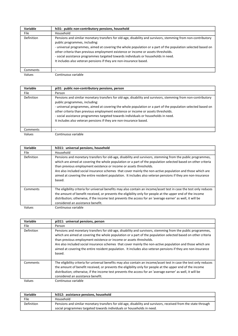| Variable          | hi31: public non-contributory pensions, household                                                                                                                                                                                                                                                                                                                                                                                                                                                               |
|-------------------|-----------------------------------------------------------------------------------------------------------------------------------------------------------------------------------------------------------------------------------------------------------------------------------------------------------------------------------------------------------------------------------------------------------------------------------------------------------------------------------------------------------------|
| <b>File</b>       | Household                                                                                                                                                                                                                                                                                                                                                                                                                                                                                                       |
| <b>Definition</b> | Pensions and similar monetary transfers for old-age, disability and survivors, stemming from non-contributory<br>public programmes, including:<br>- universal programmes, aimed at covering the whole population or a part of the population selected based on<br>other criteria than previous employment existence or income or assets thresholds.<br>- social assistance programmes targeted towards individuals or households in need.<br>It includes also veteran pensions if they are non-insurance based. |
| Comments          |                                                                                                                                                                                                                                                                                                                                                                                                                                                                                                                 |
| Values            | Continuous variable                                                                                                                                                                                                                                                                                                                                                                                                                                                                                             |

| Variable    | pi31: public non-contributory pensions, person                                                                                                                                                                                                                                                                                                                                                                                                                                                                  |
|-------------|-----------------------------------------------------------------------------------------------------------------------------------------------------------------------------------------------------------------------------------------------------------------------------------------------------------------------------------------------------------------------------------------------------------------------------------------------------------------------------------------------------------------|
| <b>File</b> | Person                                                                                                                                                                                                                                                                                                                                                                                                                                                                                                          |
| Definition  | Pensions and similar monetary transfers for old-age, disability and survivors, stemming from non-contributory<br>public programmes, including:<br>- universal programmes, aimed at covering the whole population or a part of the population selected based on<br>other criteria than previous employment existence or income or assets thresholds.<br>- social assistance programmes targeted towards individuals or households in need.<br>It includes also veteran pensions if they are non-insurance based. |
| Comments    |                                                                                                                                                                                                                                                                                                                                                                                                                                                                                                                 |
| Values      | Continuous variable                                                                                                                                                                                                                                                                                                                                                                                                                                                                                             |

| Variable   | hi311: universal pensions, household                                                                                                                                                                                                                                                                                                                                                                                                                                                                                                        |
|------------|---------------------------------------------------------------------------------------------------------------------------------------------------------------------------------------------------------------------------------------------------------------------------------------------------------------------------------------------------------------------------------------------------------------------------------------------------------------------------------------------------------------------------------------------|
| File.      | Household                                                                                                                                                                                                                                                                                                                                                                                                                                                                                                                                   |
| Definition | Pensions and monetary transfers for old-age, disability and survivors, stemming from the public programmes,<br>which are aimed at covering the whole population or a part of the population selected based on other criteria<br>than previous employment existence or income or assets thresholds.<br>Are also included social insurance schemes that cover mainly the non-active population and those which are<br>aimed at covering the entire resident population. It includes also veteran pensions if they are non-insurance<br>based. |
| Comments   | The eligibility criteria for universal benefits may also contain an income/asset test in case the test only reduces<br>the amount of benefit received, or prevents the eligibility only for people at the upper end of the income<br>distribution; otherwise, if the income test prevents the access for an 'average earner' as well, it will be<br>considered an assistance benefit.                                                                                                                                                       |
| Values     | Continuous variable                                                                                                                                                                                                                                                                                                                                                                                                                                                                                                                         |

| Variable   | pi311: universal pensions, person                                                                                                                                                                                                                                                                                                                                                                                                                                                                                                           |
|------------|---------------------------------------------------------------------------------------------------------------------------------------------------------------------------------------------------------------------------------------------------------------------------------------------------------------------------------------------------------------------------------------------------------------------------------------------------------------------------------------------------------------------------------------------|
| File.      | Person                                                                                                                                                                                                                                                                                                                                                                                                                                                                                                                                      |
| Definition | Pensions and monetary transfers for old-age, disability and survivors, stemming from the public programmes,<br>which are aimed at covering the whole population or a part of the population selected based on other criteria<br>than previous employment existence or income or assets thresholds.<br>Are also included social insurance schemes that cover mainly the non-active population and those which are<br>aimed at covering the entire resident population. It includes also veteran pensions if they are non-insurance<br>based. |
| Comments   | The eligibility criteria for universal benefits may also contain an income/asset test in case the test only reduces<br>the amount of benefit received, or prevents the eligibility only for people at the upper end of the income<br>distribution; otherwise, if the income test prevents the access for an 'average earner' as well, it will be<br>considered an assistance benefit.                                                                                                                                                       |
| Values     | Continuous variable                                                                                                                                                                                                                                                                                                                                                                                                                                                                                                                         |

| Variable   | hi312: assistance pensions, household                                                                          |  |
|------------|----------------------------------------------------------------------------------------------------------------|--|
| File       | Household                                                                                                      |  |
| Definition | Pensions and similar monetary transfers for old-age, disability and survivors, received from the state through |  |
|            | social programmes targeted towards individuals or households in need.                                          |  |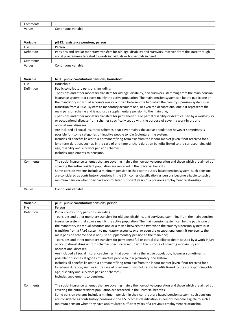| -                          | . .                                           |
|----------------------------|-----------------------------------------------|
| าmmen                      |                                               |
| $\cdot$<br>/alues<br>.0.00 | <b>Continuous</b><br>riable<br>.<br>- - - - - |

| Variable   | pi312: assistance pensions, person                                                                             |
|------------|----------------------------------------------------------------------------------------------------------------|
| File       | Person                                                                                                         |
| Definition | Pensions and similar monetary transfers for old-age, disability and survivors, received from the state through |
|            | social programmes targeted towards individuals or households in need.                                          |
| Comments   |                                                                                                                |
| Values     | Continuous variable                                                                                            |

| Variable   | hi32: public contributory pensions, household                                                                                                                                                                                                                                                                                                                                                                                                                                                                                                                                                                                                                                                                                                                                                                                                                                                                                                                                                                                                                                                                                                                                                                                                                                                                                                                           |
|------------|-------------------------------------------------------------------------------------------------------------------------------------------------------------------------------------------------------------------------------------------------------------------------------------------------------------------------------------------------------------------------------------------------------------------------------------------------------------------------------------------------------------------------------------------------------------------------------------------------------------------------------------------------------------------------------------------------------------------------------------------------------------------------------------------------------------------------------------------------------------------------------------------------------------------------------------------------------------------------------------------------------------------------------------------------------------------------------------------------------------------------------------------------------------------------------------------------------------------------------------------------------------------------------------------------------------------------------------------------------------------------|
| File       | Household                                                                                                                                                                                                                                                                                                                                                                                                                                                                                                                                                                                                                                                                                                                                                                                                                                                                                                                                                                                                                                                                                                                                                                                                                                                                                                                                                               |
| Definition | Public contributory pensions, including:<br>- pensions and other monetary transfers for old-age, disability, and survivors, stemming from the main pension<br>insurance system that covers mainly the active population. The main pension system can be the public one or<br>the mandatory individual accounts one or a mixed between the two when the country's pension system is in<br>transition from a PAYG system to mandatory accounts one, or even the occupational one if it represents the<br>main pension scheme and is not just a supplementary pension to the main one;<br>- pensions and other monetary transfers for permanent full or partial disability or death caused by a work-injury<br>or occupational disease from schemes specifically set up with the purpose of covering work-injury and<br>occupational diseases.<br>Are included all social insurance schemes that cover mainly the active population; however sometimes is<br>possible for (some categories of) inactive people to join (voluntary) the system.<br>Includes all benefits linked to a permanent/long-term exit from the labour market (even if not received for a<br>long-term duration, such as in the case of one-time or short-duration benefits linked to the corresponding old-<br>age, disability and survivors pension schemes).<br>Includes supplements to pensions. |
| Comments   | The social insurance schemes that are covering mainly the non-active population and those which are aimed at<br>covering the entire resident population are recorded in the universal benefits.<br>Some pension systems include a minimum pension in their contributory-based pension system; such pensions<br>are considered as contributory pensions in the LIS incomes classification as persons become eligible to such a<br>mnimum pension when they have accumulated sufficient years of a previous employment relationship.                                                                                                                                                                                                                                                                                                                                                                                                                                                                                                                                                                                                                                                                                                                                                                                                                                      |

| - pensions and other monetary transfers for old-age, disability, and survivors, stemming from the main pension    |
|-------------------------------------------------------------------------------------------------------------------|
| insurance system that covers mainly the active population. The main pension system can be the public one or       |
| the mandatory individual accounts one or a mixed between the two when the country's pension system is in          |
| transition from a PAYG system to mandatory accounts one, or even the occupational one if it represents the        |
|                                                                                                                   |
| - pensions and other monetary transfers for permanent full or partial disability or death caused by a work-injury |
| or occupational disease from schemes specifically set up with the purpose of covering work-injury and             |
|                                                                                                                   |
| Are included all social insurance schemes that cover mainly the active population; however sometimes is           |
|                                                                                                                   |
| Includes all benefits linked to a permanent/long-term exit from the labour market (even if not received for a     |
| long-term duration, such as in the case of one-time or short-duration benefits linked to the corresponding old-   |
|                                                                                                                   |
|                                                                                                                   |
| The social insurance schemes that are covering mainly the non-active population and those which are aimed at      |
|                                                                                                                   |
| Some pension systems include a minimum pension in their contributory-based pension system; such pensions          |
| are considered as contributory pensions in the LIS incomes classification as persons become eligible to such a    |
| mnimum pension when they have accumulated sufficient years of a previous employment relationship.                 |
|                                                                                                                   |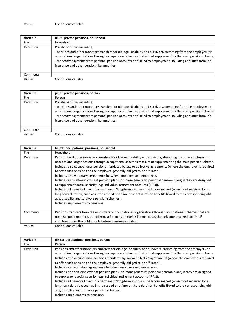| Variable          | hi33: private pensions, household                                                                                                                                                                                                                                                                                                                                                                                       |
|-------------------|-------------------------------------------------------------------------------------------------------------------------------------------------------------------------------------------------------------------------------------------------------------------------------------------------------------------------------------------------------------------------------------------------------------------------|
| File              | Household                                                                                                                                                                                                                                                                                                                                                                                                               |
| <b>Definition</b> | Private pensions including:<br>- pensions and other monetary transfers for old-age, disability and survivors, stemming from the employers or<br>occupational organisations through occupational schemes that aim at supplementing the main pension scheme;<br>- monetary payments from personal pension accounts not linked to employment, including annuities from life<br>insurance and other pension-like annuities. |
| Comments          |                                                                                                                                                                                                                                                                                                                                                                                                                         |
| Values            | Continuous variable.                                                                                                                                                                                                                                                                                                                                                                                                    |

| all.<br>٠ | ш<br>٠<br>× |
|-----------|-------------|
|-----------|-------------|

Continuous variable

| <b>Variable</b> | pi33: private pensions, person                                                                                                                                                                                                                                                                                                                                                                                          |
|-----------------|-------------------------------------------------------------------------------------------------------------------------------------------------------------------------------------------------------------------------------------------------------------------------------------------------------------------------------------------------------------------------------------------------------------------------|
| <b>File</b>     | Person                                                                                                                                                                                                                                                                                                                                                                                                                  |
| Definition      | Private pensions including:<br>- pensions and other monetary transfers for old-age, disability and survivors, stemming from the employers or<br>occupational organisations through occupational schemes that aim at supplementing the main pension scheme;<br>- monetary payments from personal pension accounts not linked to employment, including annuities from life<br>insurance and other pension-like annuities. |
| Comments        | -                                                                                                                                                                                                                                                                                                                                                                                                                       |
| Values          | Continuous variable                                                                                                                                                                                                                                                                                                                                                                                                     |

| Variable   | hi331: occupational pensions, household                                                                                                                                                                                                                                                                                                                                                                                                                                                                                                                                                                                                                                                                                                                                                                                                                                                                                                                                                                                     |
|------------|-----------------------------------------------------------------------------------------------------------------------------------------------------------------------------------------------------------------------------------------------------------------------------------------------------------------------------------------------------------------------------------------------------------------------------------------------------------------------------------------------------------------------------------------------------------------------------------------------------------------------------------------------------------------------------------------------------------------------------------------------------------------------------------------------------------------------------------------------------------------------------------------------------------------------------------------------------------------------------------------------------------------------------|
| File       | Household                                                                                                                                                                                                                                                                                                                                                                                                                                                                                                                                                                                                                                                                                                                                                                                                                                                                                                                                                                                                                   |
| Definition | Pensions and other monetary transfers for old-age, disability and survivors, stemming from the employers or<br>occupational organisations through occupational schemes that aim at supplementing the main pension scheme.<br>Includes also occupational pensions mandated by law or collective agreements (where the employer is required<br>to offer such pension and the employee generally obliged to be affiliated).<br>Includes also voluntary agreements between employers and employees.<br>Includes also self-employment pension plans (or, more generally, personal pension plans) if they are designed<br>to supplement social security (e.g. individual retirement accounts (IRAs)).<br>Includes all benefits linked to a permanent/long-term exit from the labour market (even if not received for a<br>long-term duration, such as in the case of one-time or short-duration benefits linked to the corresponding old-<br>age, disability and survivors pension schemes).<br>Includes supplements to pensions. |
| Comments   | Pensions transfers from the employers or occupational organisations through occupational schemes that are<br>not just supplementary, but offering a full pension (being in most cases the only one received) are in LIS<br>structure under the public contributory pensions variable.                                                                                                                                                                                                                                                                                                                                                                                                                                                                                                                                                                                                                                                                                                                                       |
| Values     | Continuous variable                                                                                                                                                                                                                                                                                                                                                                                                                                                                                                                                                                                                                                                                                                                                                                                                                                                                                                                                                                                                         |

| Variable   | pi331: occupational pensions, person                                                                                                                                                                                                                                                                                                                                                                                                                                                                                                                                                                                                                                                                                                                                                                                                                                                                                                                                                                                        |
|------------|-----------------------------------------------------------------------------------------------------------------------------------------------------------------------------------------------------------------------------------------------------------------------------------------------------------------------------------------------------------------------------------------------------------------------------------------------------------------------------------------------------------------------------------------------------------------------------------------------------------------------------------------------------------------------------------------------------------------------------------------------------------------------------------------------------------------------------------------------------------------------------------------------------------------------------------------------------------------------------------------------------------------------------|
| File       | Person                                                                                                                                                                                                                                                                                                                                                                                                                                                                                                                                                                                                                                                                                                                                                                                                                                                                                                                                                                                                                      |
| Definition | Pensions and other monetary transfers for old-age, disability and survivors, stemming from the employers or<br>occupational organisations through occupational schemes that aim at supplementing the main pension scheme.<br>Includes also occupational pensions mandated by law or collective agreements (where the employer is required<br>to offer such pension and the employee generally obliged to be affiliated).<br>Includes also voluntary agreements between employers and employees.<br>Includes also self-employment pension plans (or, more generally, personal pension plans) if they are designed<br>to supplement social security (e.g. individual retirement accounts (IRAs)).<br>Includes all benefits linked to a permanent/long-term exit from the labour market (even if not received for a<br>long-term duration, such as in the case of one-time or short-duration benefits linked to the corresponding old-<br>age, disability and survivors pension schemes).<br>Includes supplements to pensions. |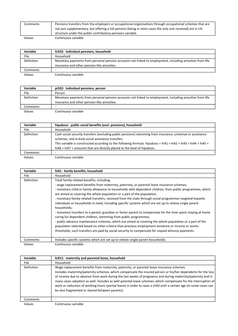| Comments | Pensions transfers from the employers or occupational organisations through occupational schemes that are  |
|----------|------------------------------------------------------------------------------------------------------------|
|          | not just supplementary, but offering a full pension (being in most cases the only one received) are in LIS |
|          | structure under the public contributory pensions variable.                                                 |
| Values   | Continuous variable                                                                                        |

| Variable          | hi332: individual pensions, household                                                                    |
|-------------------|----------------------------------------------------------------------------------------------------------|
| File              | Household                                                                                                |
| <b>Definition</b> | Monetary payments from personal pension accounts not linked to employment, including annuities from life |
|                   | insurance and other pension-like annuities.                                                              |
| Comments          | -                                                                                                        |
| Values            | Continuous variable                                                                                      |

| Variable   | pi332: individual pensions, person                                                                       |
|------------|----------------------------------------------------------------------------------------------------------|
| File       | Person                                                                                                   |
| Definition | Monetary payments from personal pension accounts not linked to employment, including annuities from life |
|            | insurance and other pension-like annuities.                                                              |
| Comments   | -                                                                                                        |
| Values     | Continuous variable                                                                                      |

| Variable   | hipubsoc: public social benefits (excl. pensions), household                                                                                                                                                                                                                                                                                                   |
|------------|----------------------------------------------------------------------------------------------------------------------------------------------------------------------------------------------------------------------------------------------------------------------------------------------------------------------------------------------------------------|
| File       | Household                                                                                                                                                                                                                                                                                                                                                      |
| Definition | Cash social security transfers (excluding public pensions) stemming from insurance, universal or assistance<br>schemes, and in-kind social assistance transfers.<br>This variable is constructed according to the following formula: hipubsoc = hi41 + hi42 + hi43 + hi44 + hi45 +<br>hi46 + hi47 + amounts that are directly placed at the level of hipubsoc. |
| Comments   |                                                                                                                                                                                                                                                                                                                                                                |
| Values     | Continuous variable                                                                                                                                                                                                                                                                                                                                            |

| Variable   | hi41: family benefits, household                                                                                                                                                                                                                                                                                                                                                                                                                                                                                                                                                                                                                                                                                                                                                                                                                                                                                                                                                                                                                                               |
|------------|--------------------------------------------------------------------------------------------------------------------------------------------------------------------------------------------------------------------------------------------------------------------------------------------------------------------------------------------------------------------------------------------------------------------------------------------------------------------------------------------------------------------------------------------------------------------------------------------------------------------------------------------------------------------------------------------------------------------------------------------------------------------------------------------------------------------------------------------------------------------------------------------------------------------------------------------------------------------------------------------------------------------------------------------------------------------------------|
| File       | Household                                                                                                                                                                                                                                                                                                                                                                                                                                                                                                                                                                                                                                                                                                                                                                                                                                                                                                                                                                                                                                                                      |
| Definition | Total family-related benefits, including:<br>- wage replacement benefits from maternity, paternity, or parental leave insurance schemes;<br>- monetary child or family allowance to households with dependent children, from public programmes, which<br>are aimed at covering the whole population or a part of the population;<br>- monetary family-related transfers, received from the state through social programmes targeted towards<br>individuals or households in need, including specific systems which are set up to relieve single parent<br>households;<br>- monetary transfers to a parent, guardian or foster parent to compensate for the time spent staying at home<br>caring for dependent children, stemming from public programmes;<br>- public advance maintenance schemes, which are aimed at covering the whole population or a part of the<br>population selected based on other criteria than previous employment existence or income or assets<br>thresholds, such transfers are paid by social security to compensate for unpaid alimony payments. |
| Comments   | Includes specific systems which are set up to relieve single parent households.                                                                                                                                                                                                                                                                                                                                                                                                                                                                                                                                                                                                                                                                                                                                                                                                                                                                                                                                                                                                |
| Values     | Continuous variable                                                                                                                                                                                                                                                                                                                                                                                                                                                                                                                                                                                                                                                                                                                                                                                                                                                                                                                                                                                                                                                            |

| <b>Variable</b> | hi411: maternity and parental leave, household                                                                                                                                                                                                                                                                                                                                                                                                                                                                                                                                                                      |
|-----------------|---------------------------------------------------------------------------------------------------------------------------------------------------------------------------------------------------------------------------------------------------------------------------------------------------------------------------------------------------------------------------------------------------------------------------------------------------------------------------------------------------------------------------------------------------------------------------------------------------------------------|
| <b>File</b>     | Household                                                                                                                                                                                                                                                                                                                                                                                                                                                                                                                                                                                                           |
| Definition      | Wage replacement benefits from maternity, paternity, or parental leave insurance schemes.<br>Includes maternity/paternity schemes, which compensate the insured person or his/her dependents for the loss<br>of income due to absence from work during the last weeks of pregnancy and during maternity/paternity and in<br>many cases adoption as well. Includes as well parental leave schemes, which compensate for the interruption of<br>work or reduction of working hours (partial leave) in order to raise a child until a certain age (in some cases can<br>be also fragmented or shared between parents). |
| Comments        |                                                                                                                                                                                                                                                                                                                                                                                                                                                                                                                                                                                                                     |
| Values          | Continuous variable                                                                                                                                                                                                                                                                                                                                                                                                                                                                                                                                                                                                 |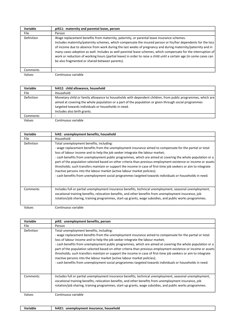| Variable          | pi411: maternity and parental leave, person                                                                                                                                                                                                                                                                                                                                                                                                                                                                                                                                                                         |
|-------------------|---------------------------------------------------------------------------------------------------------------------------------------------------------------------------------------------------------------------------------------------------------------------------------------------------------------------------------------------------------------------------------------------------------------------------------------------------------------------------------------------------------------------------------------------------------------------------------------------------------------------|
| <b>File</b>       | Person                                                                                                                                                                                                                                                                                                                                                                                                                                                                                                                                                                                                              |
| <b>Definition</b> | Wage replacement benefits from maternity, paternity, or parental leave insurance schemes.<br>Includes maternity/paternity schemes, which compensate the insured person or his/her dependents for the loss<br>of income due to absence from work during the last weeks of pregnancy and during maternity/paternity and in<br>many cases adoption as well. Includes as well parental leave schemes, which compensate for the interruption of<br>work or reduction of working hours (partial leave) in order to raise a child until a certain age (in some cases can<br>be also fragmented or shared between parents). |
| Comments          |                                                                                                                                                                                                                                                                                                                                                                                                                                                                                                                                                                                                                     |
| Values            | Continuous variable                                                                                                                                                                                                                                                                                                                                                                                                                                                                                                                                                                                                 |

| Variable    | hi412: child allowance, household                                                                                                                                                                                                                                                                          |
|-------------|------------------------------------------------------------------------------------------------------------------------------------------------------------------------------------------------------------------------------------------------------------------------------------------------------------|
| <b>File</b> | Household                                                                                                                                                                                                                                                                                                  |
| Definition  | Monetary child or family allowance to households with dependent children, from public programmes, which are<br>aimed at covering the whole population or a part of the population or given through social programmes<br>targeted towards individuals or households in need.<br>Includes also birth grants. |
| Comments    |                                                                                                                                                                                                                                                                                                            |
| Values      | Continuous variable                                                                                                                                                                                                                                                                                        |

Variable hi42: unemployment benefits, household File **Household** Definition Total unemployment benefits, including: - wage replacement benefits from the unemployment insurance aimed to compensate for the partial or total loss of labour income and to help the job seeker integrate the labour market; - cash benefits from unemployment public programmes, which are aimed at covering the whole population or a part of the population selected based on other criteria than previous employment existence or income or assets thresholds; such transfers maintain or support the income in case of first-time job seekers or aim to integrate inactive persons into the labour market (active labour market policies); - cash benefits from unemployment social programmes targeted towards individuals or households in need. Comments Includes full or partial unemployment insurance benefits, technical unemployment, seasonal unemployment, vocational training benefits, relocation benefits, and other benefits from unemployment insurance, job rotation/job sharing, training programmes, start-up grants, wage subsidies, and public works programmes. Values Continuous variable

| <b>Variable</b> | pi42: unemployment benefits, person                                                                                                                                                                                                                                                                                                                                                                                                                                                                                                                                                                                                                                                                                                                                            |
|-----------------|--------------------------------------------------------------------------------------------------------------------------------------------------------------------------------------------------------------------------------------------------------------------------------------------------------------------------------------------------------------------------------------------------------------------------------------------------------------------------------------------------------------------------------------------------------------------------------------------------------------------------------------------------------------------------------------------------------------------------------------------------------------------------------|
| File.           | Person                                                                                                                                                                                                                                                                                                                                                                                                                                                                                                                                                                                                                                                                                                                                                                         |
| Definition      | Total unemployment benefits, including:<br>- wage replacement benefits from the unemployment insurance aimed to compensate for the partial or total<br>loss of labour income and to help the job seeker integrate the labour market;<br>- cash benefits from unemployment public programmes, which are aimed at covering the whole population or a<br>part of the population selected based on other criteria than previous employment existence or income or assets<br>thresholds; such transfers maintain or support the income in case of first-time job seekers or aim to integrate<br>inactive persons into the labour market (active labour market policies);<br>- cash benefits from unemployment social programmes targeted towards individuals or households in need. |
| Comments        | Includes full or partial unemployment insurance benefits, technical unemployment, seasonal unemployment,<br>vocational training benefits, relocation benefits, and other benefits from unemployment insurance, job<br>rotation/job sharing, training programmes, start-up grants, wage subsidies, and public works programmes.                                                                                                                                                                                                                                                                                                                                                                                                                                                 |
| Values          | Continuous variable                                                                                                                                                                                                                                                                                                                                                                                                                                                                                                                                                                                                                                                                                                                                                            |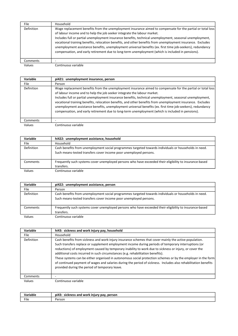| File.             | Household                                                                                                                                                                                                                                                                                                                                                                                                                                                                                                                                                                                                                             |
|-------------------|---------------------------------------------------------------------------------------------------------------------------------------------------------------------------------------------------------------------------------------------------------------------------------------------------------------------------------------------------------------------------------------------------------------------------------------------------------------------------------------------------------------------------------------------------------------------------------------------------------------------------------------|
| <b>Definition</b> | Wage replacement benefits from the unemployment insurance aimed to compensate for the partial or total loss<br>of labour income and to help the job seeker integrate the labour market.<br>Includes full or partial unemployment insurance benefits, technical unemployment, seasonal unemployment,<br>vocational training benefits, relocation benefits, and other benefits from unemployment insurance. Excludes<br>unemployment assistance benefits, unemployment universal benefits (ex. first time job-seekers), redundancy<br>compensation, and early retirement due to long-term unemployment (which is included in pensions). |
| Comments          |                                                                                                                                                                                                                                                                                                                                                                                                                                                                                                                                                                                                                                       |
| Values            | Continuous variable                                                                                                                                                                                                                                                                                                                                                                                                                                                                                                                                                                                                                   |

| Variable          | pi421: unemployment insurance, person                                                                                                                                                                                                                                                                                                                                                                                                                                                                                                                                                                                                 |
|-------------------|---------------------------------------------------------------------------------------------------------------------------------------------------------------------------------------------------------------------------------------------------------------------------------------------------------------------------------------------------------------------------------------------------------------------------------------------------------------------------------------------------------------------------------------------------------------------------------------------------------------------------------------|
| <b>File</b>       | Person                                                                                                                                                                                                                                                                                                                                                                                                                                                                                                                                                                                                                                |
| <b>Definition</b> | Wage replacement benefits from the unemployment insurance aimed to compensate for the partial or total loss<br>of labour income and to help the job seeker integrate the labour market.<br>Includes full or partial unemployment insurance benefits, technical unemployment, seasonal unemployment,<br>vocational training benefits, relocation benefits, and other benefits from unemployment insurance. Excludes<br>unemployment assistance benefits, unemployment universal benefits (ex. first time job-seekers), redundancy<br>compensation, and early retirement due to long-term unemployment (which is included in pensions). |
| Comments          | -                                                                                                                                                                                                                                                                                                                                                                                                                                                                                                                                                                                                                                     |
| Values            | Continuous variable                                                                                                                                                                                                                                                                                                                                                                                                                                                                                                                                                                                                                   |

| Variable   | hi422: unemployment assistance, household                                                                                                                                  |
|------------|----------------------------------------------------------------------------------------------------------------------------------------------------------------------------|
| File       | Household                                                                                                                                                                  |
| Definition | Cash benefits from unemployment social programmes targeted towards individuals or households in need.<br>Such means-tested transfers cover income poor unemployed persons. |
| Comments   | Frequently such systems cover unemployed persons who have exceeded their eligibility to insurance-based<br>transfers.                                                      |
| Values     | Continuous variable                                                                                                                                                        |

| Variable   | pi422: unemployment assistance, person                                                                                                                                     |
|------------|----------------------------------------------------------------------------------------------------------------------------------------------------------------------------|
| File       | Person                                                                                                                                                                     |
| Definition | Cash benefits from unemployment social programmes targeted towards individuals or households in need.<br>Such means-tested transfers cover income poor unemployed persons. |
| Comments   | Frequently such systems cover unemployed persons who have exceeded their eligibility to insurance-based<br>transfers.                                                      |
| Values     | Continuous variable                                                                                                                                                        |

| Variable   | hi43: sickness and work injury pay, household                                                                                                                                                                                                                                                                                                                                                                                                                                                                                                                                                                                                                                                     |
|------------|---------------------------------------------------------------------------------------------------------------------------------------------------------------------------------------------------------------------------------------------------------------------------------------------------------------------------------------------------------------------------------------------------------------------------------------------------------------------------------------------------------------------------------------------------------------------------------------------------------------------------------------------------------------------------------------------------|
| File.      | Household                                                                                                                                                                                                                                                                                                                                                                                                                                                                                                                                                                                                                                                                                         |
| Definition | Cash benefits from sickness and work-injury insurance schemes that cover mainly the active population.<br>Such transfers replace or supplement employment income during periods of temporary interruptions (or<br>reductions) of employment caused by temporary inability to work due to sickness or injury, or cover the<br>additional costs incurred in such circumstances (e.g. rehabilitation benefits).<br>These systems can be either organised in autonomous social protection schemes or by the employer in the form<br>of continued payment of wages and salaries during the period of sickness. Includes also rehabilitation benefits<br>provided during the period of temporary leave. |
| Comments   |                                                                                                                                                                                                                                                                                                                                                                                                                                                                                                                                                                                                                                                                                                   |
| Values     | Continuous variable                                                                                                                                                                                                                                                                                                                                                                                                                                                                                                                                                                                                                                                                               |

| Variable  | $-0.0$<br>, person<br>sickness and<br>l work iniurv pav.<br>nı4 |
|-----------|-----------------------------------------------------------------|
| $- \cdot$ | rsor.                                                           |
| File      | ___                                                             |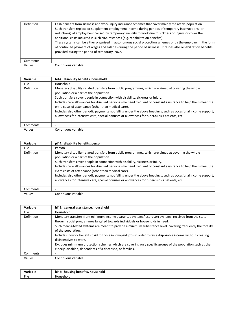| Definition | Cash benefits from sickness and work-injury insurance schemes that cover mainly the active population.<br>Such transfers replace or supplement employment income during periods of temporary interruptions (or<br>reductions) of employment caused by temporary inability to work due to sickness or injury, or cover the                                            |
|------------|----------------------------------------------------------------------------------------------------------------------------------------------------------------------------------------------------------------------------------------------------------------------------------------------------------------------------------------------------------------------|
|            | additional costs incurred in such circumstances (e.g. rehabilitation benefits).<br>These systems can be either organised in autonomous social protection schemes or by the employer in the form<br>of continued payment of wages and salaries during the period of sickness. Includes also rehabilitation benefits<br>provided during the period of temporary leave. |
| Comments   |                                                                                                                                                                                                                                                                                                                                                                      |
| Values     | Continuous variable                                                                                                                                                                                                                                                                                                                                                  |

| Variable   | hi44: disability benefits, household                                                                                                                                                                                                                                                                                                                                                                                                                                                                                                                                                                                       |
|------------|----------------------------------------------------------------------------------------------------------------------------------------------------------------------------------------------------------------------------------------------------------------------------------------------------------------------------------------------------------------------------------------------------------------------------------------------------------------------------------------------------------------------------------------------------------------------------------------------------------------------------|
| File.      | Household                                                                                                                                                                                                                                                                                                                                                                                                                                                                                                                                                                                                                  |
| Definition | Monetary disability-related transfers from public programmes, which are aimed at covering the whole<br>population or a part of the population.<br>Such transfers cover people in connection with disability, sickness or injury.<br>Includes care allowances for disabled persons who need frequent or constant assistance to help them meet the<br>extra costs of attendance (other than medical care).<br>Includes also other periodic payments not falling under the above headings, such as occasional income support,<br>allowances for intensive care, special bonuses or allowances for tuberculosis patients, etc. |
| Comments   |                                                                                                                                                                                                                                                                                                                                                                                                                                                                                                                                                                                                                            |
| Values     | Continuous variable                                                                                                                                                                                                                                                                                                                                                                                                                                                                                                                                                                                                        |

| Variable   | pi44: disability benefits, person                                                                                                                                                                                                                                                                                                                                                                                                                                                                                                                                                                                          |
|------------|----------------------------------------------------------------------------------------------------------------------------------------------------------------------------------------------------------------------------------------------------------------------------------------------------------------------------------------------------------------------------------------------------------------------------------------------------------------------------------------------------------------------------------------------------------------------------------------------------------------------------|
| File       | Person                                                                                                                                                                                                                                                                                                                                                                                                                                                                                                                                                                                                                     |
| Definition | Monetary disability-related transfers from public programmes, which are aimed at covering the whole<br>population or a part of the population.<br>Such transfers cover people in connection with disability, sickness or injury.<br>Includes care allowances for disabled persons who need frequent or constant assistance to help them meet the<br>extra costs of attendance (other than medical care).<br>Includes also other periodic payments not falling under the above headings, such as occasional income support,<br>allowances for intensive care, special bonuses or allowances for tuberculosis patients, etc. |
| Comments   |                                                                                                                                                                                                                                                                                                                                                                                                                                                                                                                                                                                                                            |
| Values     | Continuous variable                                                                                                                                                                                                                                                                                                                                                                                                                                                                                                                                                                                                        |

| Variable   | hi45: general asssistance, household                                                                                                                                                   |
|------------|----------------------------------------------------------------------------------------------------------------------------------------------------------------------------------------|
| File.      | Household                                                                                                                                                                              |
| Definition | Monetary transfers from minimum income guarantee systems/last resort systems, received from the state<br>through social programmes targeted towards individuals or households in need. |
|            | Such means-tested systems are meant to provide a minimum subsistence level, covering frequently the totality<br>of the population.                                                     |
|            | Includes in-work benefits paid to those in low-paid jobs in order to raise disposable income without creating<br>disincentives to work.                                                |
|            | Excludes mimimum protection schemes which are covering only specific groups of the population such as the<br>elderly, disabled, dependents of a deceased, or families.                 |
| Comments   |                                                                                                                                                                                        |
| Values     | Continuous variable                                                                                                                                                                    |

| Variable | <br>. .<br>: henefits.<br>household<br>housing<br>hi46:<br>TIUS |
|----------|-----------------------------------------------------------------|
| File     | ıc∆h<br>isehold                                                 |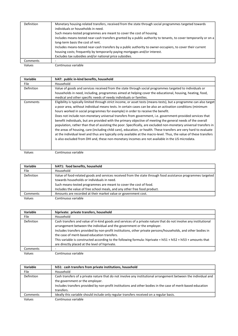| Definition | Monetary housing-related transfers, received from the state through social programmes targeted towards<br>individuals or households in need. |
|------------|----------------------------------------------------------------------------------------------------------------------------------------------|
|            | Such means-tested programmes are meant to cover the cost of housing.                                                                         |
|            | Includes means-tested near-cash transfers granted by a public authority to tenants, to cover temporarily or on a                             |
|            | long-term basis the cost of rent.                                                                                                            |
|            | Includes means-tested near-cash transfers by a public authority to owner-occupiers, to cover their current                                   |
|            | housing costs; frequently by temporarily paying mortgages and/or interest.                                                                   |
|            | Excludes tax subsidies and/or national price subsidies.                                                                                      |
| Comments   |                                                                                                                                              |
| Values     | Continuous variable                                                                                                                          |

| Variable          | hi47: public in-kind benefits, household                                                                              |
|-------------------|-----------------------------------------------------------------------------------------------------------------------|
| <b>File</b>       | Household                                                                                                             |
| <b>Definition</b> | Value of goods and services received from the state through social programmes targeted to individuals or              |
|                   | households in need, including, programmes aimed at helping cover the educational, housing, heating, food,             |
|                   | medical and other specific needs of needy individuals or families.                                                    |
| Comments          | Eligibility is typically limited through strict income, or asset tests (means-tests), but a programme can also target |
|                   | a poor area, without individual means tests. In certain cases can be also an activation conditions (minimum           |
|                   | hours worked in social programmes for example) in order to receive the benefit.                                       |
|                   | Does not include non-monetary universal transfers from government, i.e. government-provided services that             |
|                   | benefit individuals, but are provided with the primary objective of meeting the general needs of the overall          |
|                   | population, rather than that of assisting the poor. Specifically, are excluded non-monetary universal transfers in    |
|                   | the areas of housing, care (including child care), education, or health. These transfers are very hard to evaluate    |
|                   | at the individual level and thus are typically only available at the macro-level. Thus, the value of these transfers  |
|                   | is also excluded from DHI and, these non-monetary incomes are not available in the LIS microdata.                     |
|                   |                                                                                                                       |
|                   |                                                                                                                       |

| Variable    | hi471: food benefits, household                                                                              |
|-------------|--------------------------------------------------------------------------------------------------------------|
| <b>File</b> | Household                                                                                                    |
| Definition  | Value of food-related goods and services received from the state through food assistance programmes targeted |
|             | towards households or individuals in need.                                                                   |
|             | Such means-tested programmes are meant to cover the cost of food.                                            |
|             | Includes the value of free school meals, and any other free food product.                                    |
| Comments    | Amounts are recorded at their market value or government cost.                                               |
| Values      | Continuous variable                                                                                          |

| Variable                                                                                                                             | hiprivate: private transfers, household                                                                                                                                                                                           |
|--------------------------------------------------------------------------------------------------------------------------------------|-----------------------------------------------------------------------------------------------------------------------------------------------------------------------------------------------------------------------------------|
| File                                                                                                                                 | Household                                                                                                                                                                                                                         |
| Definition<br>arrangement between the individual and the government or the employer.<br>the case of merit-based education transfers. | Cash transfers and value of in-kind goods and services of a private nature that do not involve any institutional<br>Includes transfers provided by non-profit institutions, other private persons/households, and other bodies in |
|                                                                                                                                      | This variable is constructed according to the following formula: hiprivate = $h$ i51 + $h$ i52 + $h$ i53 + amounts that<br>are directly placed at the level of hiprivate.                                                         |
| Comments                                                                                                                             |                                                                                                                                                                                                                                   |
| Values                                                                                                                               | Continuous variable                                                                                                                                                                                                               |

| Variable   | hi51: cash transfers from private institutions, household                                                       |
|------------|-----------------------------------------------------------------------------------------------------------------|
| File       | Household                                                                                                       |
| Definition | Cash transfers of a private nature that do not involve any institutional arrangement between the individual and |
|            | the government or the employer.                                                                                 |
|            | Includes transfers provided by non-profit institutions and other bodies in the case of merit-based education    |
|            | transfers.                                                                                                      |
| Comments   | Ideally this variable should include only regular transfers received on a regular basis.                        |
| Values     | Continuous variable                                                                                             |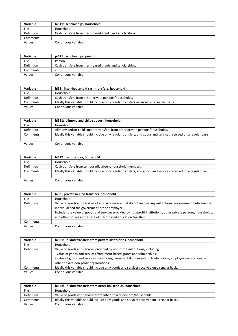| Variable        | hi511: scholarships, household                           |
|-----------------|----------------------------------------------------------|
| File            | Household                                                |
| Definition      | Cash transfers from merit-based grants and scholarships. |
| Comments        |                                                          |
| $11 - 112 - 12$ | Continuous variable                                      |

| . . | ×<br>۹<br>×<br>۰,<br>× |
|-----|------------------------|
|     |                        |

Continuous variable

| Variable   | pi511: scholarships, person                              |
|------------|----------------------------------------------------------|
| File       | Person                                                   |
| Definition | Cash transfers from merit-based grants and scholarships. |
| Comments   |                                                          |
| Values     | Continuous variable                                      |

| Variable   | hi52: inter-household cash transfers, household                                          |
|------------|------------------------------------------------------------------------------------------|
| File       | Household                                                                                |
| Definition | Cash transfers from other private persons/households.                                    |
| Comments   | Ideally this variable should include only regular transfers received on a regular basis. |
| Values     | Continuous variable                                                                      |

| Variable    | hi521: alimony and child support, household                                                                      |
|-------------|------------------------------------------------------------------------------------------------------------------|
| <b>File</b> | Household                                                                                                        |
| Definition  | Alimony and/or child support transfers from other private persons/households.                                    |
| Comments    | Ideally this variable should include only regular transfers, and goods and services received on a regular basis. |
| Values      | Continuous variable                                                                                              |

| Variable   | hi522: remittances, household                                                                                    |
|------------|------------------------------------------------------------------------------------------------------------------|
| File       | Household                                                                                                        |
| Definition | Cash transfers from temporarily absent household members.                                                        |
| Comments   | Ideally this variable should include only regular transfers, and goods and services received on a regular basis. |
| Values     | Continuous variable                                                                                              |

| Variable   | hi53: private in-kind transfers, household                                                                      |
|------------|-----------------------------------------------------------------------------------------------------------------|
| File       | Household                                                                                                       |
| Definition | Value of goods and services of a private nature that do not involve any institutional arrangement between the   |
|            | individual and the government or the employer.                                                                  |
|            | Includes the value of goods and services provided by non-profit institutions, other private persons/households, |
|            | and other bodies in the case of merit-based education transfers.                                                |
| Comments   |                                                                                                                 |
| Values     | Continuous variable                                                                                             |

| Variable          | hi531: in-kind transfers from private institutions, household                                              |
|-------------------|------------------------------------------------------------------------------------------------------------|
| File              | Household                                                                                                  |
| <b>Definition</b> | Value of goods and services provided by non-profit institutions, including:                                |
|                   | - value of goods and services from merit-based grants and scholarships;                                    |
|                   | - value of goods and services from non-governmental organisation, trade unions, employer associations, and |
|                   | other private non-profit organisations.                                                                    |
| Comments          | Ideally this variable should include only goods and services received on a regular basis.                  |
| Values            | Continuous variable                                                                                        |

| Variable   | hi532: in-kind transfers from other households, household                                 |
|------------|-------------------------------------------------------------------------------------------|
| File       | Household                                                                                 |
| Definition | Value of goods and services from other private persons/households.                        |
| Comments   | Ideally this variable should include only goods and services received on a regular basis. |
| Values     | Continuous variable                                                                       |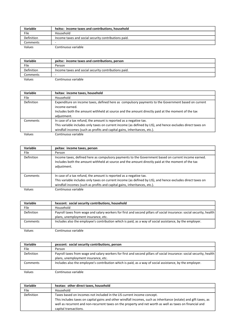| Variable          | hxitsc: income taxes and contributions, household    |
|-------------------|------------------------------------------------------|
| File              | Household                                            |
| <b>Definition</b> | Income taxes and social security contributions paid. |
| Comments          | -                                                    |
| Values            | Continuous variable                                  |

Variable pxitsc: income taxes and contributions, person File Person Definition Income taxes and social security contributions paid. Comments |-

Values Continuous variable

| Variable   | hxitax: income taxes, household                                                                             |
|------------|-------------------------------------------------------------------------------------------------------------|
| File       | Household                                                                                                   |
| Definition | Expenditure on income taxes, defined here as compulsory payments to the Government based on current         |
|            | income earned.                                                                                              |
|            | Includes both the amount withheld at source and the amount directly paid at the moment of the tax           |
|            | adjustment.                                                                                                 |
| Comments   | In case of a tax refund, the amount is reported as a negative tax.                                          |
|            | This variable includes only taxes on current income (as defined by LIS), and hence excludes direct taxes on |
|            | windfall incomes (such as profits and capital gains, inheritances, etc.).                                   |
| Values     | Continuous variable                                                                                         |

| Variable          | pxitax: income taxes, person                                                                                                                                                                                                                                   |
|-------------------|----------------------------------------------------------------------------------------------------------------------------------------------------------------------------------------------------------------------------------------------------------------|
| File.             | Person                                                                                                                                                                                                                                                         |
| <b>Definition</b> | Income taxes, defined here as compulsory payments to the Government based on current income earned.<br>Includes both the amount withheld at source and the amount directly paid at the moment of the tax<br>adjustment.                                        |
| Comments          | In case of a tax refund, the amount is reported as a negative tax.<br>This variable includes only taxes on current income (as defined by LIS), and hence excludes direct taxes on<br>windfall incomes (such as profits and capital gains, inheritances, etc.). |
| Values            | Continuous variable                                                                                                                                                                                                                                            |

| <b>Variable</b> | hxscont: social security contributions, household                                                                    |
|-----------------|----------------------------------------------------------------------------------------------------------------------|
| File            | Household                                                                                                            |
| Definition      | Payroll taxes from wage and salary workers for first and second pillars of social insurance: social security, health |
|                 | plans, unemployment insurance, etc.                                                                                  |
| Comments        | Includes also the employee's contribution which is paid, as a way of social assistance, by the employer.             |
| Values          | Continuous variable                                                                                                  |

Variable pxscont: social security contributions, person File Person Definition Payroll taxes from wage and salary workers for first and second pillars of social insurance: social security, health plans, unemployment insurance, etc. Comments Includes also the employee's contribution which is paid, as a way of social assistance, by the employer. Values Continuous variable

| Variable          | hxotax: other direct taxes, household                                                                            |
|-------------------|------------------------------------------------------------------------------------------------------------------|
| File              | Household                                                                                                        |
| <b>Definition</b> | Taxes based on incomes not included in the LIS current income concept.                                           |
|                   | This includes taxes on capital gains and other windfall incomes, such as inheritance (estate) and gift taxes, as |
|                   | well as recurrent and non-recurrent taxes on the property and net worth as well as taxes on financial and        |
|                   | capital transactions.                                                                                            |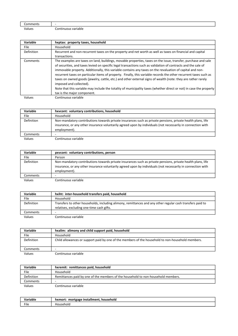| .    | $\sim$ |
|------|--------|
| lues | . .    |
| ---  | паріє  |

| Variable   | hxptax: property taxes, household                                                                                                                                                                                                                                                                                                                                                                                                                                                                                                                                                                                                                                                                                                                                    |
|------------|----------------------------------------------------------------------------------------------------------------------------------------------------------------------------------------------------------------------------------------------------------------------------------------------------------------------------------------------------------------------------------------------------------------------------------------------------------------------------------------------------------------------------------------------------------------------------------------------------------------------------------------------------------------------------------------------------------------------------------------------------------------------|
| File       | Household                                                                                                                                                                                                                                                                                                                                                                                                                                                                                                                                                                                                                                                                                                                                                            |
| Definition | Recurrent and non-recurrent taxes on the property and net worth as well as taxes on financial and capital                                                                                                                                                                                                                                                                                                                                                                                                                                                                                                                                                                                                                                                            |
|            | transactions.                                                                                                                                                                                                                                                                                                                                                                                                                                                                                                                                                                                                                                                                                                                                                        |
| Comments   | The examples are taxes on land, buildings, movable properties, taxes on the issue, transfer, purchase and sale<br>of securities, and taxes levied on specific legal transactions such as validation of contracts and the sale of<br>immovable property. Additionally, this variable contains any taxes on the revaluation of capital and non-<br>recurrent taxes on particular items of property. Finally, this variable records the other recurrent taxes such as<br>taxes on owned goods (jewelry, cattle, etc.) and other external signs of wealth (note: they are rather rarely<br>imposed and collected).<br>Note that this variable may include the totality of municipality taxes (whether direct or not) in case the property<br>tax is the major component. |
| Values     | Continuous variable                                                                                                                                                                                                                                                                                                                                                                                                                                                                                                                                                                                                                                                                                                                                                  |

| <b>Variable</b> | hxycont: voluntary contributions, household                                                                                                                                                                                                 |
|-----------------|---------------------------------------------------------------------------------------------------------------------------------------------------------------------------------------------------------------------------------------------|
| File            | Household                                                                                                                                                                                                                                   |
| Definition      | Non-mandatory contributions towards private insurances such as private pensions, private health plans, life<br>insurance, or any other insurance voluntarily agreed upon by individuals (not necessarily in connection with<br>employment). |
| Comments        |                                                                                                                                                                                                                                             |
| Values          | Continuous variable                                                                                                                                                                                                                         |

| Variable          | pxycont: voluntary contributions, person                                                                                                                                                                                                    |
|-------------------|---------------------------------------------------------------------------------------------------------------------------------------------------------------------------------------------------------------------------------------------|
| File              | Person                                                                                                                                                                                                                                      |
| <b>Definition</b> | Non-mandatory contributions towards private insurances such as private pensions, private health plans, life<br>insurance, or any other insurance voluntarily agreed upon by individuals (not necessarily in connection with<br>employment). |
| Comments          |                                                                                                                                                                                                                                             |
| Values            | Continuous variable                                                                                                                                                                                                                         |

| Variable          | hxiht: inter-household transfers paid, household                                                                                                        |
|-------------------|---------------------------------------------------------------------------------------------------------------------------------------------------------|
| File              | Household                                                                                                                                               |
| <b>Definition</b> | Transfers to other households, including alimony, remittances and any other regular cash transfers paid to<br>relatives, excluding one-time cash gifts. |
| Comments          |                                                                                                                                                         |
| Values            | Continuous variable                                                                                                                                     |

| Variable          | hxalim: alimony and child support paid, household                                                 |
|-------------------|---------------------------------------------------------------------------------------------------|
| <b>File</b>       | Household                                                                                         |
| <b>Definition</b> | Child allowances or support paid by one of the members of the household to non-household members. |
| Comments          | ۰                                                                                                 |
| Values            | Continuous variable                                                                               |

| Variable   | hxremit: remittances paid, household                                              |
|------------|-----------------------------------------------------------------------------------|
| File       | Household                                                                         |
| Definition | Remittances paid by one of the members of the household to non-household members. |
| Comments   | -                                                                                 |
| Values     | Continuous variable                                                               |

| 'ariable | household<br>: installment<br>mortgage<br>hxmort: |
|----------|---------------------------------------------------|
| File     | Household                                         |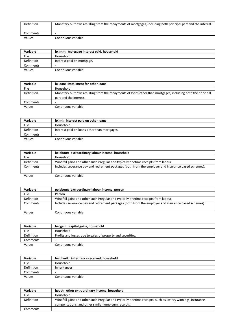| <b>Definition</b> | Monetary outflows resulting from the repayments of mortgages, including both principal part and the interest. |
|-------------------|---------------------------------------------------------------------------------------------------------------|
| Comments          |                                                                                                               |
| Values            | Continuous variable                                                                                           |

| Variable   | hxintm: mortgage interest paid, household |
|------------|-------------------------------------------|
| File       | Household                                 |
| Definition | Interest paid on mortgage.                |
| Comments   | -                                         |
| Values     | Continuous variable                       |

| Variable          | hxloan: installment for other loans                                                                                                   |
|-------------------|---------------------------------------------------------------------------------------------------------------------------------------|
| File              | Household                                                                                                                             |
| <b>Definition</b> | Monetary outflows resulting from the repayments of loans other than mortgages, including both the principal<br>part and the interest. |
| Comments          | -                                                                                                                                     |
| Values            | Continuous variable                                                                                                                   |

| <b>Variable</b>   | hxintl: interest paid on other loans         |
|-------------------|----------------------------------------------|
| File              | Household                                    |
| <b>Definition</b> | Interest paid on loans other than mortgages. |
| Comments          |                                              |
| Values            | Continuous variable                          |

| <b>Variable</b>   | helabour: extraordinary labour income, household                                                     |
|-------------------|------------------------------------------------------------------------------------------------------|
| File              | Household                                                                                            |
| <b>Definition</b> | Windfall gains and other such irregular and typically onetime receipts from labour.                  |
| Comments          | Includes severance pay and retirement packages (both from the employer and insurance based schemes). |
| Values            | Continuous variable                                                                                  |

| Variable          | pelabour: extraordinary labour income, person                                                        |
|-------------------|------------------------------------------------------------------------------------------------------|
| File              | Person                                                                                               |
| <b>Definition</b> | Windfall gains and other such irregular and typically onetime receipts from labour.                  |
| Comments          | Includes severance pay and retirement packages (both from the employer and insurance based schemes). |
| Values            | Continuous variable                                                                                  |

| Variable   | hecgain: capital gains, household                           |
|------------|-------------------------------------------------------------|
| File       | Household                                                   |
| Definition | Profits and losses due to sales of property and securities. |
| Comments   |                                                             |
| Values     | Continuous variable                                         |

| <b>Variable</b> | heinherit: inheritance received, household |
|-----------------|--------------------------------------------|
| File            | Household                                  |
| Definition      | Inheritances.                              |
| Comments        |                                            |
| Values          | Continuous variable                        |

| Variable   | heoth: other extraordinary income, household                                                                |
|------------|-------------------------------------------------------------------------------------------------------------|
| File       | Household                                                                                                   |
| Definition | Windfall gains and other such irregular and typically onetime receipts, such as lottery winnings, insurance |
|            | compensations, and other similar lump-sum receipts.                                                         |
| Comments   |                                                                                                             |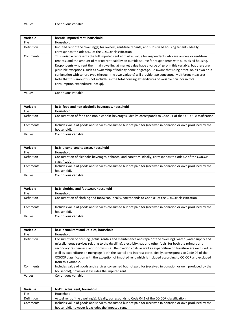| Variable    | hrenti: imputed rent, household                                                                                                                                                                                                                                                                                                                                                                                                                                                                                                                                                                                                                                                                                      |
|-------------|----------------------------------------------------------------------------------------------------------------------------------------------------------------------------------------------------------------------------------------------------------------------------------------------------------------------------------------------------------------------------------------------------------------------------------------------------------------------------------------------------------------------------------------------------------------------------------------------------------------------------------------------------------------------------------------------------------------------|
| <b>File</b> | Household                                                                                                                                                                                                                                                                                                                                                                                                                                                                                                                                                                                                                                                                                                            |
| Definition  | Imputed rent of the dwelling(s) for owners, rent-free tenants, and subsidized housing tenants. Ideally,                                                                                                                                                                                                                                                                                                                                                                                                                                                                                                                                                                                                              |
|             | corresponds to Code 04.2 of the COICOP classification.                                                                                                                                                                                                                                                                                                                                                                                                                                                                                                                                                                                                                                                               |
| Comments    | This variable represents the full imputed rent at market value for respondents who are owners or rent-free<br>tenants, and the amount of market rent paid by an outside source for respondents with subsidized housing.<br>Respondents who rent their main dwelling at market value have a value of zero in this variable, but there are<br>plausible exceptions, such as ownership of holiday home or garage. Be aware that using hrenti on its own or in<br>conjunction with tenure type (through the own variable) will provide two conceptually different measures.<br>Note that this amount is not included in the total housing expenditures of variable hc4, nor in total<br>consumption expenditure (hcexp). |

| Variable   | hc1: food and non-alcoholic beverages, household                                                                           |
|------------|----------------------------------------------------------------------------------------------------------------------------|
| File       | Household                                                                                                                  |
| Definition | Consumption of food and non-alcoholic beverages. Ideally, corresponds to Code 01 of the COICOP classification.             |
| Comments   | Includes value of goods and services consumed but not paid for (received in donation or own produced by the<br>household). |
| Values     | Continuous variable                                                                                                        |

| Variable   | hc2: alcohol and tobacco, household                                                                         |
|------------|-------------------------------------------------------------------------------------------------------------|
| File       | Household                                                                                                   |
| Definition | Consumption of alcoholic beverages, tobacco, and narcotics. Ideally, corresponds to Code 02 of the COICOP   |
|            | classification.                                                                                             |
| Comments   | Includes value of goods and services consumed but not paid for (received in donation or own produced by the |
|            | household).                                                                                                 |
| Values     | Continuous variable                                                                                         |

| Variable    | hc3: clothing and footwear, household                                                                                      |
|-------------|----------------------------------------------------------------------------------------------------------------------------|
| <b>File</b> | Household                                                                                                                  |
| Definition  | Consumption of clothing and footwear. Ideally, corresponds to Code 03 of the COICOP classification.                        |
| Comments    | Includes value of goods and services consumed but not paid for (received in donation or own produced by the<br>household). |
| Values      | Continuous variable                                                                                                        |

| Variable   | hc4: actual rent and utilities, household                                                                                                                                                                                                                                                                                                                                                                                                                                                                                                                                                           |
|------------|-----------------------------------------------------------------------------------------------------------------------------------------------------------------------------------------------------------------------------------------------------------------------------------------------------------------------------------------------------------------------------------------------------------------------------------------------------------------------------------------------------------------------------------------------------------------------------------------------------|
| File.      | Household                                                                                                                                                                                                                                                                                                                                                                                                                                                                                                                                                                                           |
| Definition | Consumption of housing (actual rentals and maintenance and repair of the dwelling), water (water supply and<br>miscellaneous services relating to the dwelling), electricity, gas and other fuels, for both the primary and<br>secondary residences (kept for own use). Renovation costs as well as expenditure on furniture are excluded, as<br>well as expenditure on mortgage (both the capital and interest part). Ideally, corresponds to Code 04 of the<br>COICOP classification with the exception of imputed rent which is included according to COICOP and excluded<br>from this variable. |
| Comments   | Includes value of goods and services consumed but not paid for (received in donation or own produced by the                                                                                                                                                                                                                                                                                                                                                                                                                                                                                         |
|            | household), however it excludes the imputed rent.                                                                                                                                                                                                                                                                                                                                                                                                                                                                                                                                                   |
| Values     | Continuous variable                                                                                                                                                                                                                                                                                                                                                                                                                                                                                                                                                                                 |

| <b>Variable</b> | hc41: actual rent, household                                                                                |
|-----------------|-------------------------------------------------------------------------------------------------------------|
| File            | Household                                                                                                   |
| Definition      | Actual rent of the dwelling(s). Ideally, corresponds to Code 04.1 of the COICOP classification.             |
| Comments        | Includes value of goods and services consumed but not paid for (received in donation or own produced by the |
|                 | household), however it excludes the imputed rent.                                                           |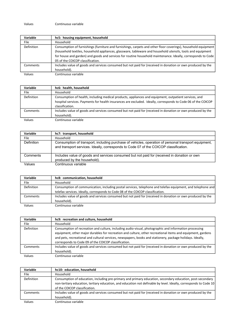| Variable          | hc5: housing equipment, household                                                                              |
|-------------------|----------------------------------------------------------------------------------------------------------------|
| File              | Household                                                                                                      |
| <b>Definition</b> | Consumption of furnishings (furniture and furnishings, carpets and other floor coverings), household equipment |
|                   | (household textiles, household appliances, glassware, tableware and household utensils, tools and equipment    |
|                   | for house and garden) and goods and services for routine household maintenance. Ideally, corresponds to Code   |
|                   | 05 of the COICOP classification.                                                                               |
| Comments          | Includes value of goods and services consumed but not paid for (received in donation or own produced by the    |
|                   | household).                                                                                                    |
| Values            | Continuous variable                                                                                            |

| Variable    | hc6: health, household                                                                                                                                                                                                                    |
|-------------|-------------------------------------------------------------------------------------------------------------------------------------------------------------------------------------------------------------------------------------------|
| <b>File</b> | Household                                                                                                                                                                                                                                 |
| Definition  | Consumption of health, including medical products, appliances and equipment, outpatient services, and<br>hospital services. Payments for health insurances are excluded. Ideally, corresponds to Code 06 of the COICOP<br>classification. |
| Comments    | Includes value of goods and services consumed but not paid for (received in donation or own produced by the<br>household).                                                                                                                |
| Values      | Continuous variable                                                                                                                                                                                                                       |

| Variable   | hc7: transport, household                                                                                                                                                                     |
|------------|-----------------------------------------------------------------------------------------------------------------------------------------------------------------------------------------------|
| File       | Household                                                                                                                                                                                     |
| Definition | Consumption of transport, including purchase of vehicles, operation of personal transport equipment,<br>and transport services. Ideally, corresponds to Code 07 of the COICOP classification. |
| Comments   | Includes value of goods and services consumed but not paid for (received in donation or own<br>produced by the household).                                                                    |
| Values     | Continuous variable                                                                                                                                                                           |

| Variable   | hc8: communication, household                                                                               |
|------------|-------------------------------------------------------------------------------------------------------------|
| File       | Household                                                                                                   |
| Definition | Consumption of communication, including postal services, telephone and telefax equipment, and telephone and |
|            | telefax services. Ideally, corresponds to Code 08 of the COICOP classification.                             |
| Comments   | Includes value of goods and services consumed but not paid for (received in donation or own produced by the |
|            | household).                                                                                                 |
| Values     | Continuous variable                                                                                         |

| Variable   | hc9: recreation and culture, household                                                                      |
|------------|-------------------------------------------------------------------------------------------------------------|
| File       | Household                                                                                                   |
| Definition | Consumption of recreation and culture, including audio-visual, photographic and information processing      |
|            | equipment, other major durables for recreation and culture, other recreational items and equipment, gardens |
|            | and pets, recreational and cultural services, newspapers, books and stationery, package holidays. Ideally,  |
|            | corresponds to Code 09 of the COICOP classification.                                                        |
| Comments   | Includes value of goods and services consumed but not paid for (received in donation or own produced by the |
|            | household).                                                                                                 |
| Values     | Continuous variable                                                                                         |

| Variable   | hc10: education, household                                                                                        |
|------------|-------------------------------------------------------------------------------------------------------------------|
| File       | Household                                                                                                         |
| Definition | Consumption of education, including pre-primary and primary education, secondary education, post-secondary        |
|            | non-tertiary education, tertiary education, and education not definable by level. Ideally, corresponds to Code 10 |
|            | of the COICOP classification.                                                                                     |
| Comments   | Includes value of goods and services consumed but not paid for (received in donation or own produced by the       |
|            | household).                                                                                                       |
| Values     | Continuous variable                                                                                               |